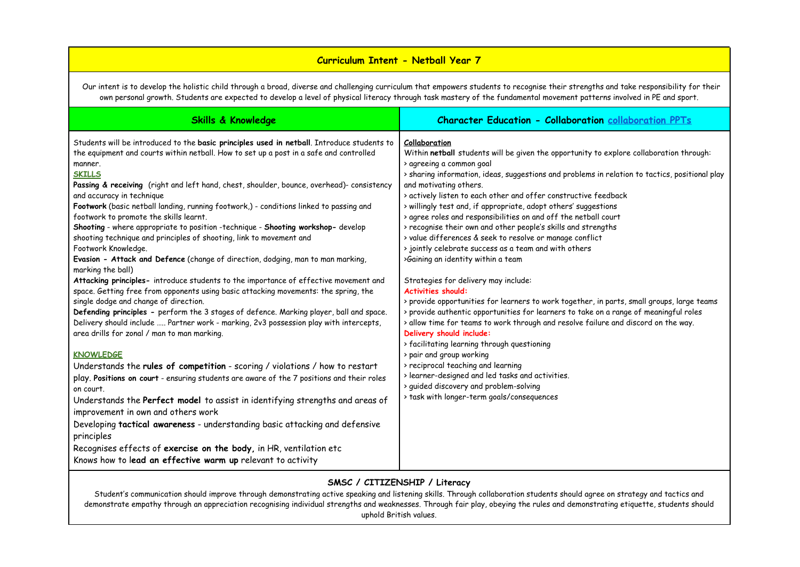# **Curriculum Intent - Netball Year 7**

Our intent is to develop the holistic child through a broad, diverse and challenging curriculum that empowers students to recognise their strengths and take responsibility for their own personal growth. Students are expected to develop a level of physical literacy through task mastery of the fundamental movement patterns involved in PE and sport.

| <b>Skills &amp; Knowledge</b>                                                                                                                                                                                                                                                                                                                                                                                                                                                                                                                                                                                                                                                                                                                                                                                                                                                                                                                                                                                                                                                                                                                                                                                                                                                                                                                                                                                                                                                                                                                                                                                                                                                                                                                                                                                                                            | <b>Character Education - Collaboration collaboration PPTs</b>                                                                                                                                                                                                                                                                                                                                                                                                                                                                                                                                                                                                                                                                                                                                                                                                                                                                                                                                                                                                                                                                                                                                                                                                                                      |
|----------------------------------------------------------------------------------------------------------------------------------------------------------------------------------------------------------------------------------------------------------------------------------------------------------------------------------------------------------------------------------------------------------------------------------------------------------------------------------------------------------------------------------------------------------------------------------------------------------------------------------------------------------------------------------------------------------------------------------------------------------------------------------------------------------------------------------------------------------------------------------------------------------------------------------------------------------------------------------------------------------------------------------------------------------------------------------------------------------------------------------------------------------------------------------------------------------------------------------------------------------------------------------------------------------------------------------------------------------------------------------------------------------------------------------------------------------------------------------------------------------------------------------------------------------------------------------------------------------------------------------------------------------------------------------------------------------------------------------------------------------------------------------------------------------------------------------------------------------|----------------------------------------------------------------------------------------------------------------------------------------------------------------------------------------------------------------------------------------------------------------------------------------------------------------------------------------------------------------------------------------------------------------------------------------------------------------------------------------------------------------------------------------------------------------------------------------------------------------------------------------------------------------------------------------------------------------------------------------------------------------------------------------------------------------------------------------------------------------------------------------------------------------------------------------------------------------------------------------------------------------------------------------------------------------------------------------------------------------------------------------------------------------------------------------------------------------------------------------------------------------------------------------------------|
| Students will be introduced to the basic principles used in netball. Introduce students to<br>Collaboration<br>the equipment and courts within netball. How to set up a post in a safe and controlled<br>manner.<br><b>SKILLS</b><br>Passing & receiving (right and left hand, chest, shoulder, bounce, overhead)- consistency<br>and accuracy in technique<br>Footwork (basic netball landing, running footwork,) - conditions linked to passing and<br>footwork to promote the skills learnt.<br>Shooting - where appropriate to position -technique - Shooting workshop- develop<br>shooting technique and principles of shooting, link to movement and<br>Footwork Knowledge.<br>Evasion - Attack and Defence (change of direction, dodging, man to man marking,<br>marking the ball)<br>Attacking principles- introduce students to the importance of effective movement and<br>space. Getting free from opponents using basic attacking movements: the spring, the<br><b>Activities should:</b><br>single dodge and change of direction.<br>Defending principles - perform the 3 stages of defence. Marking player, ball and space.<br>Delivery should include  Partner work - marking, 2v3 possession play with intercepts,<br>area drills for zonal / man to man marking.<br><b>KNOWLEDGE</b><br>Understands the rules of competition - scoring / violations / how to restart<br>play. Positions on court - ensuring students are aware of the 7 positions and their roles<br>on court.<br>Understands the Perfect model to assist in identifying strengths and areas of<br>improvement in own and others work<br>Developing tactical awareness - understanding basic attacking and defensive<br>principles<br>Recognises effects of exercise on the body, in HR, ventilation etc<br>Knows how to lead an effective warm up relevant to activity | Within netball students will be given the opportunity to explore collaboration through:<br>> agreeing a common goal<br>> sharing information, ideas, suggestions and problems in relation to tactics, positional play<br>and motivating others.<br>> actively listen to each other and offer constructive feedback<br>> willingly test and, if appropriate, adopt others' suggestions<br>> agree roles and responsibilities on and off the netball court<br>> recognise their own and other people's skills and strengths<br>> value differences & seek to resolve or manage conflict<br>> jointly celebrate success as a team and with others<br>>Gaining an identity within a team<br>Strategies for delivery may include:<br>> provide opportunities for learners to work together, in parts, small groups, large teams<br>> provide authentic opportunities for learners to take on a range of meaningful roles<br>> allow time for teams to work through and resolve failure and discord on the way.<br>Delivery should include:<br>> facilitating learning through questioning<br>> pair and group working<br>> reciprocal teaching and learning<br>> learner-designed and led tasks and activities.<br>> guided discovery and problem-solving<br>> task with longer-term goals/consequences |

## **SMSC / CITIZENSHIP / Literacy**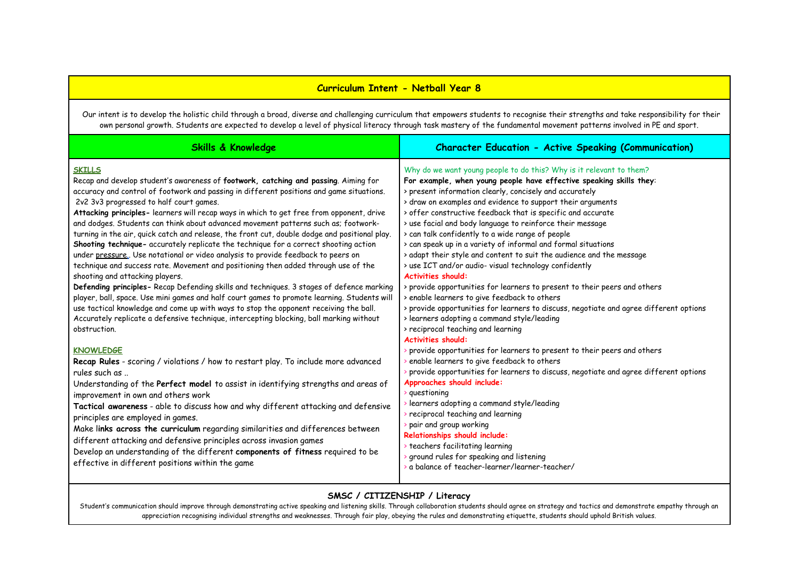### **Curriculum Intent - Netball Year 8**

Our intent is to develop the holistic child through a broad, diverse and challenging curriculum that empowers students to recognise their strengths and take responsibility for their own personal growth. Students are expected to develop a level of physical literacy through task mastery of the fundamental movement patterns involved in PE and sport.

| <b>Skills &amp; Knowledge</b>                                                                                                                                                                                                                                                                                                                                                                                                                                                                                                                                                                                                                                                                                                                                                                                                                                                                                                                                                                                                                                                                                                                                                                                                                          | <b>Character Education - Active Speaking (Communication)</b>                                                                                                                                                                                                                                                                                                                                                                                                                                                                                                                                                                                                                                                                                                                                                                                                                                                                                                                                                                |
|--------------------------------------------------------------------------------------------------------------------------------------------------------------------------------------------------------------------------------------------------------------------------------------------------------------------------------------------------------------------------------------------------------------------------------------------------------------------------------------------------------------------------------------------------------------------------------------------------------------------------------------------------------------------------------------------------------------------------------------------------------------------------------------------------------------------------------------------------------------------------------------------------------------------------------------------------------------------------------------------------------------------------------------------------------------------------------------------------------------------------------------------------------------------------------------------------------------------------------------------------------|-----------------------------------------------------------------------------------------------------------------------------------------------------------------------------------------------------------------------------------------------------------------------------------------------------------------------------------------------------------------------------------------------------------------------------------------------------------------------------------------------------------------------------------------------------------------------------------------------------------------------------------------------------------------------------------------------------------------------------------------------------------------------------------------------------------------------------------------------------------------------------------------------------------------------------------------------------------------------------------------------------------------------------|
| <b>SKILLS</b><br>Recap and develop student's awareness of footwork, catching and passing. Aiming for<br>accuracy and control of footwork and passing in different positions and game situations.<br>2v2 3v3 progressed to half court games.<br>Attacking principles- learners will recap ways in which to get free from opponent, drive<br>and dodges. Students can think about advanced movement patterns such as; footwork-<br>turning in the air, quick catch and release, the front cut, double dodge and positional play.<br>Shooting technique- accurately replicate the technique for a correct shooting action<br>under pressure. Use notational or video analysis to provide feedback to peers on<br>technique and success rate. Movement and positioning then added through use of the<br>shooting and attacking players.<br>Defending principles- Recap Defending skills and techniques. 3 stages of defence marking<br>player, ball, space. Use mini games and half court games to promote learning. Students will<br>use tactical knowledge and come up with ways to stop the opponent receiving the ball.<br>Accurately replicate a defensive technique, intercepting blocking, ball marking without<br>obstruction.<br><b>KNOWLEDGE</b> | Why do we want young people to do this? Why is it relevant to them?<br>For example, when young people have effective speaking skills they:<br>> present information clearly, concisely and accurately<br>> draw on examples and evidence to support their arguments<br>> offer constructive feedback that is specific and accurate<br>> use facial and body language to reinforce their message<br>> can talk confidently to a wide range of people<br>> can speak up in a variety of informal and formal situations<br>> adapt their style and content to suit the audience and the message<br>> use ICT and/or audio- visual technology confidently<br><b>Activities should:</b><br>> provide opportunities for learners to present to their peers and others<br>> enable learners to give feedback to others<br>> provide opportunities for learners to discuss, negotiate and agree different options<br>> learners adopting a command style/leading<br>> reciprocal teaching and learning<br><b>Activities should:</b> |
| Recap Rules - scoring / violations / how to restart play. To include more advanced<br>rules such as<br>Understanding of the Perfect model to assist in identifying strengths and areas of<br>improvement in own and others work<br>Tactical awareness - able to discuss how and why different attacking and defensive<br>principles are employed in games.<br>Make links across the curriculum regarding similarities and differences between<br>different attacking and defensive principles across invasion games<br>Develop an understanding of the different components of fitness required to be<br>effective in different positions within the game                                                                                                                                                                                                                                                                                                                                                                                                                                                                                                                                                                                              | provide opportunities for learners to present to their peers and others<br>enable learners to give feedback to others<br>provide opportunities for learners to discuss, negotiate and agree different options<br>Approaches should include:<br>$\rightarrow$ questioning<br>learners adopting a command style/leading<br>reciprocal teaching and learning<br>pair and group working<br>Relationships should include:<br>> teachers facilitating learning<br>ground rules for speaking and listening<br>a balance of teacher-learner/learner-teacher/                                                                                                                                                                                                                                                                                                                                                                                                                                                                        |

### **SMSC / CITIZENSHIP / Literacy**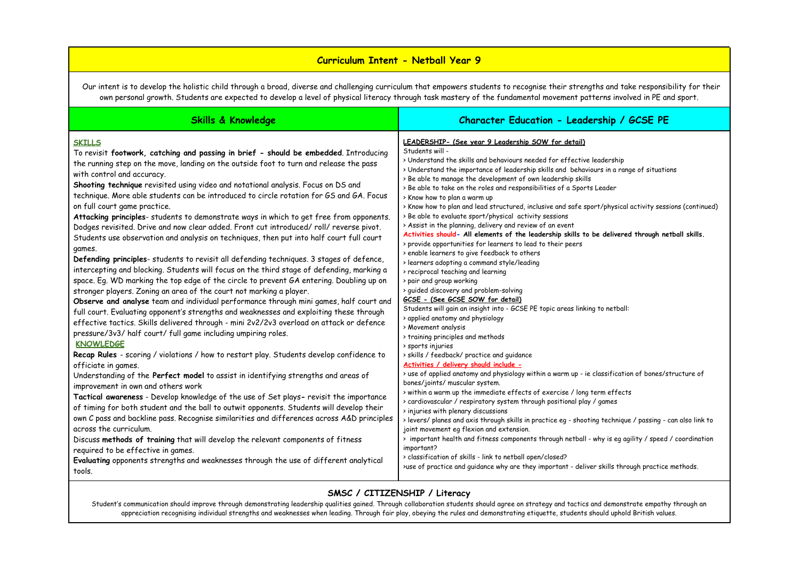### **Curriculum Intent - Netball Year 9**

Our intent is to develop the holistic child through a broad, diverse and challenging curriculum that empowers students to recognise their strengths and take responsibility for their own personal growth. Students are expected to develop a level of physical literacy through task mastery of the fundamental movement patterns involved in PE and sport.

| <b>Skills &amp; Knowledge</b>                                                                                                                                                                                                                                                                                                                                                                                                                                                                                                                                                                                                                                                                                                                                                                                                                                                                                                                                                                                                                                                                                                                                                                                                                                                                                                                                                                                                                                                                                                                                                                                                                                                                                                                                                                                                                                                                                                                                                                                                                                                                                                                                                                                                                                      | Character Education - Leadership / GCSE PE                                                                                                                                                                                                                                                                                                                                                                                                                                                                                                                                                                                                                                                                                                                                                                                                                                                                                                                                                                                                                                                                                                                                                                                                                                                                                                                                                                                                                                                                                                                                                                                                                                                                                                                                                                                                                                                                                                                                                                                                                                                                                                                |
|--------------------------------------------------------------------------------------------------------------------------------------------------------------------------------------------------------------------------------------------------------------------------------------------------------------------------------------------------------------------------------------------------------------------------------------------------------------------------------------------------------------------------------------------------------------------------------------------------------------------------------------------------------------------------------------------------------------------------------------------------------------------------------------------------------------------------------------------------------------------------------------------------------------------------------------------------------------------------------------------------------------------------------------------------------------------------------------------------------------------------------------------------------------------------------------------------------------------------------------------------------------------------------------------------------------------------------------------------------------------------------------------------------------------------------------------------------------------------------------------------------------------------------------------------------------------------------------------------------------------------------------------------------------------------------------------------------------------------------------------------------------------------------------------------------------------------------------------------------------------------------------------------------------------------------------------------------------------------------------------------------------------------------------------------------------------------------------------------------------------------------------------------------------------------------------------------------------------------------------------------------------------|-----------------------------------------------------------------------------------------------------------------------------------------------------------------------------------------------------------------------------------------------------------------------------------------------------------------------------------------------------------------------------------------------------------------------------------------------------------------------------------------------------------------------------------------------------------------------------------------------------------------------------------------------------------------------------------------------------------------------------------------------------------------------------------------------------------------------------------------------------------------------------------------------------------------------------------------------------------------------------------------------------------------------------------------------------------------------------------------------------------------------------------------------------------------------------------------------------------------------------------------------------------------------------------------------------------------------------------------------------------------------------------------------------------------------------------------------------------------------------------------------------------------------------------------------------------------------------------------------------------------------------------------------------------------------------------------------------------------------------------------------------------------------------------------------------------------------------------------------------------------------------------------------------------------------------------------------------------------------------------------------------------------------------------------------------------------------------------------------------------------------------------------------------------|
| <b>SKILLS</b><br>To revisit footwork, catching and passing in brief - should be embedded. Introducing<br>the running step on the move, landing on the outside foot to turn and release the pass<br>with control and accuracy.<br>Shooting technique revisited using video and notational analysis. Focus on DS and<br>technique. More able students can be introduced to circle rotation for GS and GA. Focus<br>on full court game practice.<br>Attacking principles- students to demonstrate ways in which to get free from opponents.<br>Dodges revisited. Drive and now clear added. Front cut introduced/roll/reverse pivot.<br>Students use observation and analysis on techniques, then put into half court full court<br>games.<br>Defending principles- students to revisit all defending techniques. 3 stages of defence,<br>intercepting and blocking. Students will focus on the third stage of defending, marking a<br>space. Eg. WD marking the top edge of the circle to prevent GA entering. Doubling up on<br>stronger players. Zoning an area of the court not marking a player.<br>Observe and analyse team and individual performance through mini games, half court and<br>full court. Evaluating opponent's strengths and weaknesses and exploiting these through<br>effective tactics. Skills delivered through - mini 2v2/2v3 overload on attack or defence<br>pressure/3v3/ half court/ full game including umpiring roles.<br><b>KNOWLEDGE</b><br>Recap Rules - scoring / violations / how to restart play. Students develop confidence to<br>officiate in games.<br>Understanding of the Perfect model to assist in identifying strengths and areas of<br>improvement in own and others work<br>Tactical awareness - Develop knowledge of the use of Set plays- revisit the importance<br>of timing for both student and the ball to outwit opponents. Students will develop their<br>own C pass and backline pass. Recognise similarities and differences across A&D principles<br>across the curriculum.<br>Discuss methods of training that will develop the relevant components of fitness<br>required to be effective in games.<br>Evaluating opponents strengths and weaknesses through the use of different analytical<br>tools. | LEADERSHIP- (See year 9 Leadership SOW for detail)<br>Students will -<br>> Understand the skills and behaviours needed for effective leadership<br>> Understand the importance of leadership skills and behaviours in a range of situations<br>> Be able to manage the development of own leadership skills<br>> Be able to take on the roles and responsibilities of a Sports Leader<br>> Know how to plan a warm up<br>> Know how to plan and lead structured, inclusive and safe sport/physical activity sessions (continued)<br>> Be able to evaluate sport/physical activity sessions<br>> Assist in the planning, delivery and review of an event<br>Activities should- All elements of the leadership skills to be delivered through netball skills.<br>> provide opportunities for learners to lead to their peers<br>> enable learners to give feedback to others<br>> learners adopting a command style/leading<br>> reciprocal teaching and learning<br>> pair and group working<br>> guided discovery and problem-solving<br>GCSE - (See GCSE SOW for detail)<br>Students will gain an insight into - GCSE PE topic areas linking to netball:<br>> applied anatomy and physiology<br>> Movement analysis<br>> training principles and methods<br>> sports injuries<br>> skills / feedback/ practice and quidance<br>Activities / delivery should include -<br>> use of applied anatomy and physiology within a warm up - ie classification of bones/structure of<br>bones/joints/ muscular system.<br>> within a warm up the immediate effects of exercise / long term effects<br>> cardiovascular / respiratory system through positional play / games<br>> injuries with plenary discussions<br>> levers/ planes and axis through skills in practice eq - shooting technique / passing - can also link to<br>joint movement eg flexion and extension.<br>> important health and fitness components through netball - why is eg agility / speed / coordination<br>important?<br>> classification of skills - link to netball open/closed?<br>>use of practice and guidance why are they important - deliver skills through practice methods. |

### **SMSC / CITIZENSHIP / Literacy**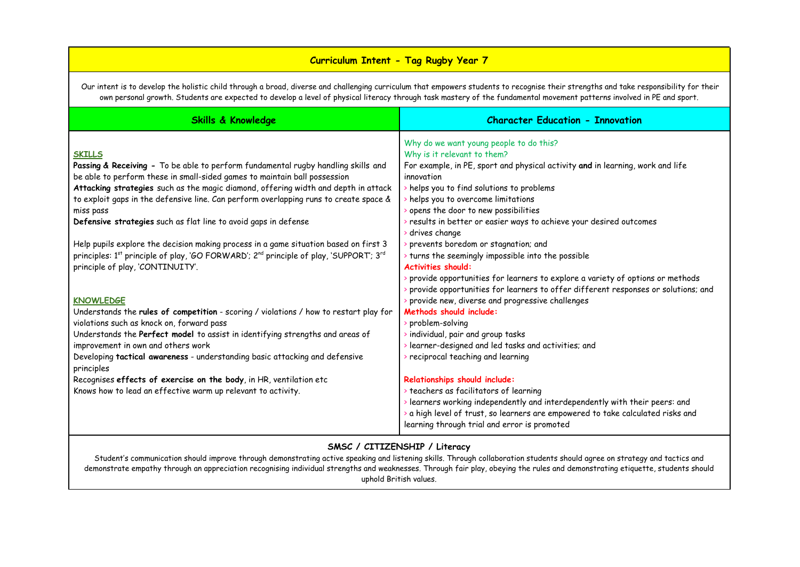## **Curriculum Intent - Tag Rugby Year 7**

Our intent is to develop the holistic child through a broad, diverse and challenging curriculum that empowers students to recognise their strengths and take responsibility for their own personal growth. Students are expected to develop a level of physical literacy through task mastery of the fundamental movement patterns involved in PE and sport.

| <b>Skills &amp; Knowledge</b>                                                                                              | <b>Character Education - Innovation</b>                                                         |
|----------------------------------------------------------------------------------------------------------------------------|-------------------------------------------------------------------------------------------------|
|                                                                                                                            | Why do we want young people to do this?                                                         |
| <b>SKILLS</b>                                                                                                              | Why is it relevant to them?                                                                     |
| Passing & Receiving - To be able to perform fundamental rugby handling skills and                                          | For example, in PE, sport and physical activity and in learning, work and life                  |
| be able to perform these in small-sided games to maintain ball possession                                                  | innovation                                                                                      |
| Attacking strategies such as the magic diamond, offering width and depth in attack                                         | helps you to find solutions to problems                                                         |
| to exploit gaps in the defensive line. Can perform overlapping runs to create space &                                      | $\rightarrow$ helps you to overcome limitations                                                 |
| miss pass                                                                                                                  | opens the door to new possibilities                                                             |
| Defensive strategies such as flat line to avoid gaps in defense                                                            | $\rightarrow$ results in better or easier ways to achieve your desired outcomes                 |
|                                                                                                                            | drives change                                                                                   |
| Help pupils explore the decision making process in a game situation based on first 3                                       | prevents boredom or stagnation; and                                                             |
| principles: 1 <sup>st</sup> principle of play, 'GO FORWARD'; 2 <sup>nd</sup> principle of play, 'SUPPORT'; 3 <sup>rd</sup> | turns the seemingly impossible into the possible                                                |
| principle of play, 'CONTINUITY'.                                                                                           | <b>Activities should:</b>                                                                       |
|                                                                                                                            | provide opportunities for learners to explore a variety of options or methods                   |
|                                                                                                                            | provide opportunities for learners to offer different responses or solutions; and               |
| <b>KNOWLEDGE</b>                                                                                                           | provide new, diverse and progressive challenges                                                 |
| Understands the rules of competition - scoring / violations / how to restart play for                                      | Methods should include:                                                                         |
| violations such as knock on, forward pass                                                                                  | problem-solving                                                                                 |
| Understands the Perfect model to assist in identifying strengths and areas of                                              | individual, pair and group tasks                                                                |
| improvement in own and others work                                                                                         | learner-designed and led tasks and activities; and                                              |
| Developing tactical awareness - understanding basic attacking and defensive                                                | reciprocal teaching and learning                                                                |
| principles                                                                                                                 |                                                                                                 |
| Recognises effects of exercise on the body, in HR, ventilation etc                                                         | Relationships should include:                                                                   |
| Knows how to lead an effective warm up relevant to activity.                                                               | teachers as facilitators of learning                                                            |
|                                                                                                                            | $\blacktriangleright$ learners working independently and interdependently with their peers: and |
|                                                                                                                            | a high level of trust, so learners are empowered to take calculated risks and                   |
|                                                                                                                            | learning through trial and error is promoted                                                    |
|                                                                                                                            |                                                                                                 |

## **SMSC / CITIZENSHIP / Literacy**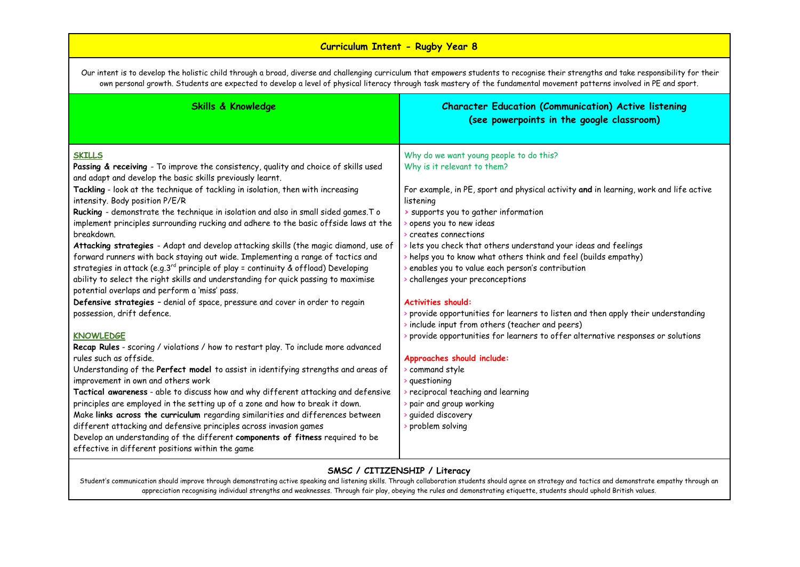# **Curriculum Intent - Rugby Year 8**

Our intent is to develop the holistic child through a broad, diverse and challenging curriculum that empowers students to recognise their strengths and take responsibility for their own personal growth. Students are expected to develop a level of physical literacy through task mastery of the fundamental movement patterns involved in PE and sport.

| <b>Skills &amp; Knowledge</b>                                                                                                                                                                                                                                                                                                                                                                                                                                                                                                                                                                                                                                                                                                                                                                                                                                                                                                                                                                                                                                                                                                                                                                                                                                                                                                                                                                                                                                                                                                                                                                                                                                                                                                                   | <b>Character Education (Communication) Active listening</b><br>(see powerpoints in the google classroom)                                                                                                                                                                                                                                                                                                                                                                                                                                                                                                                                                                                                                                                                                                                                                                                                                        |
|-------------------------------------------------------------------------------------------------------------------------------------------------------------------------------------------------------------------------------------------------------------------------------------------------------------------------------------------------------------------------------------------------------------------------------------------------------------------------------------------------------------------------------------------------------------------------------------------------------------------------------------------------------------------------------------------------------------------------------------------------------------------------------------------------------------------------------------------------------------------------------------------------------------------------------------------------------------------------------------------------------------------------------------------------------------------------------------------------------------------------------------------------------------------------------------------------------------------------------------------------------------------------------------------------------------------------------------------------------------------------------------------------------------------------------------------------------------------------------------------------------------------------------------------------------------------------------------------------------------------------------------------------------------------------------------------------------------------------------------------------|---------------------------------------------------------------------------------------------------------------------------------------------------------------------------------------------------------------------------------------------------------------------------------------------------------------------------------------------------------------------------------------------------------------------------------------------------------------------------------------------------------------------------------------------------------------------------------------------------------------------------------------------------------------------------------------------------------------------------------------------------------------------------------------------------------------------------------------------------------------------------------------------------------------------------------|
| <b>SKILLS</b><br>Passing & receiving - To improve the consistency, quality and choice of skills used<br>and adapt and develop the basic skills previously learnt.<br>Tackling - look at the technique of tackling in isolation, then with increasing<br>intensity. Body position P/E/R<br>Rucking - demonstrate the technique in isolation and also in small sided games. To<br>implement principles surrounding rucking and adhere to the basic offside laws at the<br>breakdown.<br>Attacking strategies - Adapt and develop attacking skills (the magic diamond, use of<br>forward runners with back staying out wide. Implementing a range of tactics and<br>strategies in attack (e.g.3rd principle of play = continuity & offload) Developing<br>ability to select the right skills and understanding for quick passing to maximise<br>potential overlaps and perform a 'miss' pass.<br>Defensive strategies - denial of space, pressure and cover in order to regain<br>possession, drift defence.<br><b>KNOWLEDGE</b><br>Recap Rules - scoring / violations / how to restart play. To include more advanced<br>rules such as offside.<br>Understanding of the Perfect model to assist in identifying strengths and areas of<br>improvement in own and others work<br>Tactical awareness - able to discuss how and why different attacking and defensive<br>principles are employed in the setting up of a zone and how to break it down.<br>Make links across the curriculum regarding similarities and differences between<br>different attacking and defensive principles across invasion games<br>Develop an understanding of the different components of fitness required to be<br>effective in different positions within the game | Why do we want young people to do this?<br>Why is it relevant to them?<br>For example, in PE, sport and physical activity and in learning, work and life active<br>listening<br>> supports you to gather information<br>popens you to new ideas<br>creates connections<br>> lets you check that others understand your ideas and feelings<br>> helps you to know what others think and feel (builds empathy)<br>enables you to value each person's contribution<br>> challenges your preconceptions<br><b>Activities should:</b><br>> provide opportunities for learners to listen and then apply their understanding<br>include input from others (teacher and peers)<br>provide opportunities for learners to offer alternative responses or solutions<br>Approaches should include:<br>command style<br>> questioning<br>reciprocal teaching and learning<br>> pair and group working<br>guided discovery<br>problem solving |

### **SMSC / CITIZENSHIP / Literacy**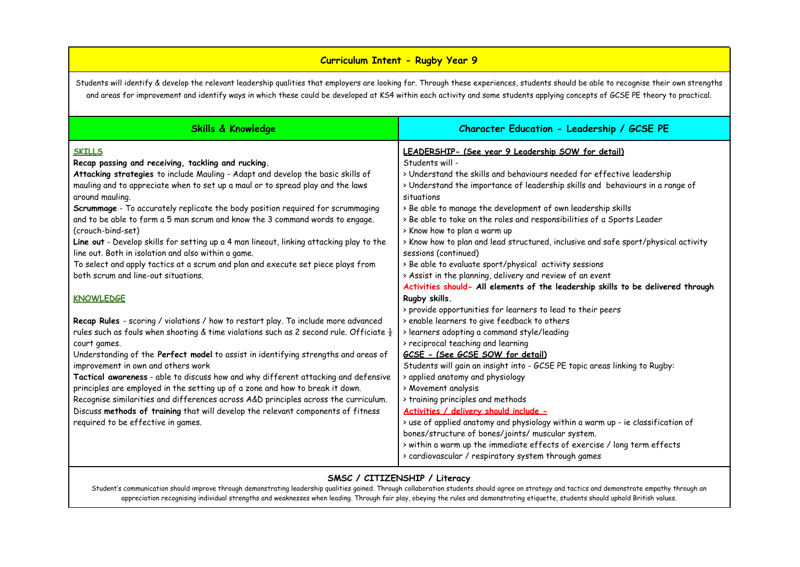### **Curriculum Intent - Rugby Year 9**

Students will identify & develop the relevant leadership qualities that employers are looking for. Through these experiences, students should be able to recognise their own strengths and areas for improvement and identify ways in which these could be developed at KS4 within each activity and some students applying concepts of GCSE PE theory to practical.

| <b>Skills &amp; Knowledge</b>                                                                                                                                                                                                                                                                                                                                                                                                                                                                                                                                                                                                                                                            | Character Education - Leadership / GCSE PE                                                                                                                                                                                                                                                                                                                                                                                                                                                                                                                                                       |
|------------------------------------------------------------------------------------------------------------------------------------------------------------------------------------------------------------------------------------------------------------------------------------------------------------------------------------------------------------------------------------------------------------------------------------------------------------------------------------------------------------------------------------------------------------------------------------------------------------------------------------------------------------------------------------------|--------------------------------------------------------------------------------------------------------------------------------------------------------------------------------------------------------------------------------------------------------------------------------------------------------------------------------------------------------------------------------------------------------------------------------------------------------------------------------------------------------------------------------------------------------------------------------------------------|
| <b>SKILLS</b><br>Recap passing and receiving, tackling and rucking.<br>Attacking strategies to include Mauling - Adapt and develop the basic skills of<br>mauling and to appreciate when to set up a maul or to spread play and the laws<br>around mauling.<br>Scrummage - To accurately replicate the body position required for scrummaging<br>and to be able to form a 5 man scrum and know the 3 command words to engage.<br>(crouch-bind-set)<br>Line out - Develop skills for setting up a 4 man lineout, linking attacking play to the<br>line out. Both in isolation and also within a game.<br>To select and apply tactics at a scrum and plan and execute set piece plays from | LEADERSHIP- (See year 9 Leadership SOW for detail)<br>Students will -<br>> Understand the skills and behaviours needed for effective leadership<br>> Understand the importance of leadership skills and behaviours in a range of<br>situations<br>> Be able to manage the development of own leadership skills<br>> Be able to take on the roles and responsibilities of a Sports Leader<br>> Know how to plan a warm up<br>> Know how to plan and lead structured, inclusive and safe sport/physical activity<br>sessions (continued)<br>> Be able to evaluate sport/physical activity sessions |
| both scrum and line-out situations.<br><b>KNOWLEDGE</b>                                                                                                                                                                                                                                                                                                                                                                                                                                                                                                                                                                                                                                  | > Assist in the planning, delivery and review of an event<br>Activities should- All elements of the leadership skills to be delivered through<br>Rugby skills.<br>> provide opportunities for learners to lead to their peers                                                                                                                                                                                                                                                                                                                                                                    |
| Recap Rules - scoring / violations / how to restart play. To include more advanced<br>rules such as fouls when shooting & time violations such as 2 second rule. Officiate $\frac{1}{2}$<br>court games.                                                                                                                                                                                                                                                                                                                                                                                                                                                                                 | > enable learners to give feedback to others<br>> learners adopting a command style/leading<br>> reciprocal teaching and learning                                                                                                                                                                                                                                                                                                                                                                                                                                                                |
| Understanding of the Perfect model to assist in identifying strengths and areas of<br>improvement in own and others work<br>Tactical awareness - able to discuss how and why different attacking and defensive<br>principles are employed in the setting up of a zone and how to break it down.<br>Recognise similarities and differences across A&D principles across the curriculum.<br>Discuss methods of training that will develop the relevant components of fitness<br>required to be effective in games.                                                                                                                                                                         | GCSE - (See GCSE SOW for detail)<br>Students will gain an insight into - GCSE PE topic areas linking to Rugby:<br>> applied anatomy and physiology<br>> Movement analysis<br>> training principles and methods<br>Activities / delivery should include -<br>> use of applied anatomy and physiology within a warm up - ie classification of<br>bones/structure of bones/joints/ muscular system.<br>> within a warm up the immediate effects of exercise / long term effects<br>> cardiovascular / respiratory system through games                                                              |

### **SMSC / CITIZENSHIP / Literacy**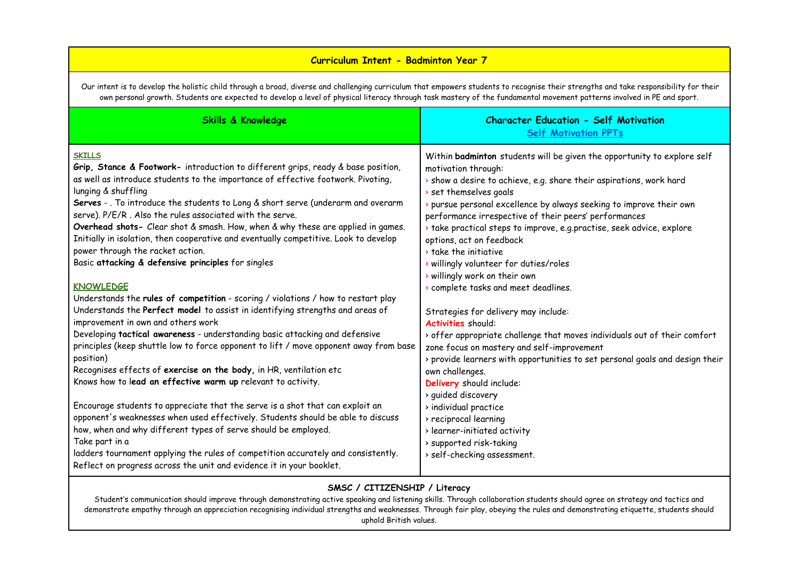## **Curriculum Intent - Badminton Year 7**

Our intent is to develop the holistic child through a broad, diverse and challenging curriculum that empowers students to recognise their strengths and take responsibility for their own personal growth. Students are expected to develop a level of physical literacy through task mastery of the fundamental movement patterns involved in PE and sport.

| <b>SKILLS</b><br>Grip, Stance & Footwork- introduction to different grips, ready & base position,<br>motivation through:<br>as well as introduce students to the importance of effective footwork. Pivoting,<br>> show a desire to achieve, e.g. share their aspirations, work hard                                                                                                                                                                                                                                                                                                                                                                                                                                                                                                                                                                                                                                                                                                                                                                                                                                                                                                                                                                                                                                                                                                                                                                                                                                                                                                                                                                                                                                                                                                                                                                                                                                                                                                                                                                                                                             |                     | <b>Self Motivation PPTs</b>                                                                                                                                                                                                                                    |
|-----------------------------------------------------------------------------------------------------------------------------------------------------------------------------------------------------------------------------------------------------------------------------------------------------------------------------------------------------------------------------------------------------------------------------------------------------------------------------------------------------------------------------------------------------------------------------------------------------------------------------------------------------------------------------------------------------------------------------------------------------------------------------------------------------------------------------------------------------------------------------------------------------------------------------------------------------------------------------------------------------------------------------------------------------------------------------------------------------------------------------------------------------------------------------------------------------------------------------------------------------------------------------------------------------------------------------------------------------------------------------------------------------------------------------------------------------------------------------------------------------------------------------------------------------------------------------------------------------------------------------------------------------------------------------------------------------------------------------------------------------------------------------------------------------------------------------------------------------------------------------------------------------------------------------------------------------------------------------------------------------------------------------------------------------------------------------------------------------------------|---------------------|----------------------------------------------------------------------------------------------------------------------------------------------------------------------------------------------------------------------------------------------------------------|
| Serves - . To introduce the students to Long & short serve (underarm and overarm<br>> pursue personal excellence by always seeking to improve their own<br>serve). P/E/R. Also the rules associated with the serve.<br>performance irrespective of their peers' performances<br>Overhead shots- Clear shot & smash. How, when & why these are applied in games.<br>> take practical steps to improve, e.g.practise, seek advice, explore<br>Initially in isolation, then cooperative and eventually competitive. Look to develop<br>options, act on feedback<br>power through the racket action.<br>> take the initiative<br>Basic attacking & defensive principles for singles<br>> willingly volunteer for duties/roles<br>> willingly work on their own<br><b>KNOWLEDGE</b><br>> complete tasks and meet deadlines.<br>Understands the rules of competition - scoring / violations / how to restart play<br>Understands the Perfect model to assist in identifying strengths and areas of<br>Strategies for delivery may include:<br>improvement in own and others work<br>Activities should:<br>Developing tactical awareness - understanding basic attacking and defensive<br>principles (keep shuttle low to force opponent to lift / move opponent away from base<br>zone focus on mastery and self-improvement<br>position)<br>Recognises effects of exercise on the body, in HR, ventilation etc<br>own challenges.<br>Knows how to lead an effective warm up relevant to activity.<br>Delivery should include:<br>> quided discovery<br>Encourage students to appreciate that the serve is a shot that can exploit an<br>> individual practice<br>opponent's weaknesses when used effectively. Students should be able to discuss<br>> reciprocal learning<br>how, when and why different types of serve should be employed.<br>> learner-initiated activity<br>Take part in a<br>> supported risk-taking<br>ladders tournament applying the rules of competition accurately and consistently.<br>> self-checking assessment.<br>Reflect on progress across the unit and evidence it in your booklet. | lunging & shuffling | Within badminton students will be given the opportunity to explore self<br>> set themselves goals<br>> offer appropriate challenge that moves individuals out of their comfort<br>> provide learners with opportunities to set personal goals and design their |

### **SMSC / CITIZENSHIP / Literacy**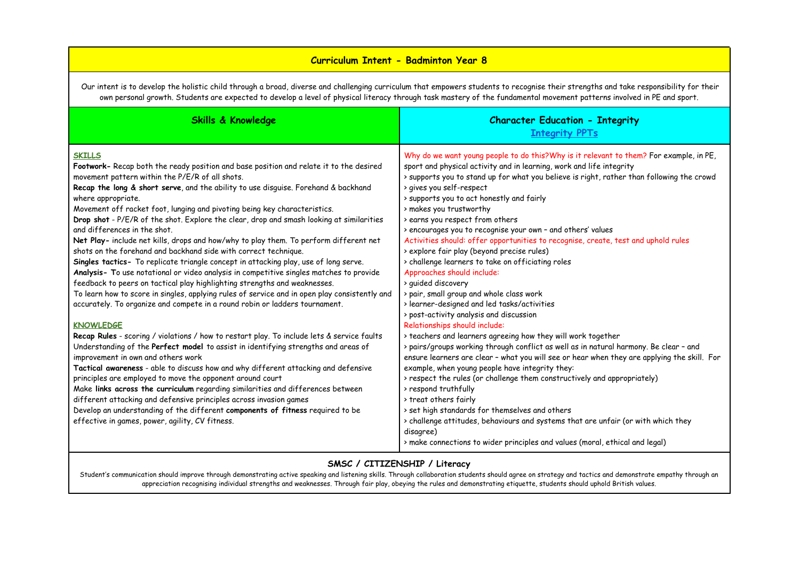### **Curriculum Intent - Badminton Year 8**

Our intent is to develop the holistic child through a broad, diverse and challenging curriculum that empowers students to recognise their strengths and take responsibility for their own personal growth. Students are expected to develop a level of physical literacy through task mastery of the fundamental movement patterns involved in PE and sport.

| <b>Skills &amp; Knowledge</b>                                                                                                                                                                                                                                                                                                                                                                                                                                                                                                                                                                                                                                                                                                                                                                                                                                                                                                                                                                                                                                                                                                                                                                                                                                                                                                                                                                                                                                                                                                                                                                                                                                                                                                                                                              | <b>Character Education - Integrity</b><br><b>Integrity PPTs</b>                                                                                                                                                                                                                                                                                                                                                                                                                                                                                                                                                                                                                                                                                                                                                                                                                                                                                                                                                                                                                                                                                                                                                                                                                                                                                                                                                                                                                   |
|--------------------------------------------------------------------------------------------------------------------------------------------------------------------------------------------------------------------------------------------------------------------------------------------------------------------------------------------------------------------------------------------------------------------------------------------------------------------------------------------------------------------------------------------------------------------------------------------------------------------------------------------------------------------------------------------------------------------------------------------------------------------------------------------------------------------------------------------------------------------------------------------------------------------------------------------------------------------------------------------------------------------------------------------------------------------------------------------------------------------------------------------------------------------------------------------------------------------------------------------------------------------------------------------------------------------------------------------------------------------------------------------------------------------------------------------------------------------------------------------------------------------------------------------------------------------------------------------------------------------------------------------------------------------------------------------------------------------------------------------------------------------------------------------|-----------------------------------------------------------------------------------------------------------------------------------------------------------------------------------------------------------------------------------------------------------------------------------------------------------------------------------------------------------------------------------------------------------------------------------------------------------------------------------------------------------------------------------------------------------------------------------------------------------------------------------------------------------------------------------------------------------------------------------------------------------------------------------------------------------------------------------------------------------------------------------------------------------------------------------------------------------------------------------------------------------------------------------------------------------------------------------------------------------------------------------------------------------------------------------------------------------------------------------------------------------------------------------------------------------------------------------------------------------------------------------------------------------------------------------------------------------------------------------|
| <b>SKILLS</b><br>Footwork- Recap both the ready position and base position and relate it to the desired<br>movement pattern within the P/E/R of all shots.<br>Recap the long & short serve, and the ability to use disguise. Forehand & backhand<br>where appropriate.<br>Movement off racket foot, lunging and pivoting being key characteristics.<br>Drop shot - P/E/R of the shot. Explore the clear, drop and smash looking at similarities<br>and differences in the shot.<br>Net Play- include net kills, drops and how/why to play them. To perform different net<br>shots on the forehand and backhand side with correct technique.<br>Singles tactics- To replicate triangle concept in attacking play, use of long serve.<br>Analysis- To use notational or video analysis in competitive singles matches to provide<br>feedback to peers on tactical play highlighting strengths and weaknesses.<br>To learn how to score in singles, applying rules of service and in open play consistently and<br>accurately. To organize and compete in a round robin or ladders tournament.<br><b>KNOWLEDGE</b><br>Recap Rules - scoring / violations / how to restart play. To include lets & service faults<br>Understanding of the Perfect model to assist in identifying strengths and areas of<br>improvement in own and others work<br>Tactical awareness - able to discuss how and why different attacking and defensive<br>principles are employed to move the opponent around court<br>Make links across the curriculum regarding similarities and differences between<br>different attacking and defensive principles across invasion games<br>Develop an understanding of the different components of fitness required to be<br>effective in games, power, agility, CV fitness. | Why do we want young people to do this?Why is it relevant to them? For example, in PE,<br>sport and physical activity and in learning, work and life integrity<br>> supports you to stand up for what you believe is right, rather than following the crowd<br>> gives you self-respect<br>> supports you to act honestly and fairly<br>> makes you trustworthy<br>> earns you respect from others<br>> encourages you to recognise your own - and others' values<br>Activities should: offer opportunities to recognise, create, test and uphold rules<br>> explore fair play (beyond precise rules)<br>> challenge learners to take on officiating roles<br>Approaches should include:<br>> guided discovery<br>> pair, small group and whole class work<br>> learner-designed and led tasks/activities<br>> post-activity analysis and discussion<br>Relationships should include:<br>> teachers and learners agreeing how they will work together<br>> pairs/groups working through conflict as well as in natural harmony. Be clear - and<br>ensure learners are clear - what you will see or hear when they are applying the skill. For<br>example, when young people have integrity they:<br>> respect the rules (or challenge them constructively and appropriately)<br>> respond truthfully<br>> treat others fairly<br>> set high standards for themselves and others<br>> challenge attitudes, behaviours and systems that are unfair (or with which they<br>disagree) |
|                                                                                                                                                                                                                                                                                                                                                                                                                                                                                                                                                                                                                                                                                                                                                                                                                                                                                                                                                                                                                                                                                                                                                                                                                                                                                                                                                                                                                                                                                                                                                                                                                                                                                                                                                                                            | > make connections to wider principles and values (moral, ethical and legal)                                                                                                                                                                                                                                                                                                                                                                                                                                                                                                                                                                                                                                                                                                                                                                                                                                                                                                                                                                                                                                                                                                                                                                                                                                                                                                                                                                                                      |

#### **SMSC / CITIZENSHIP / Literacy**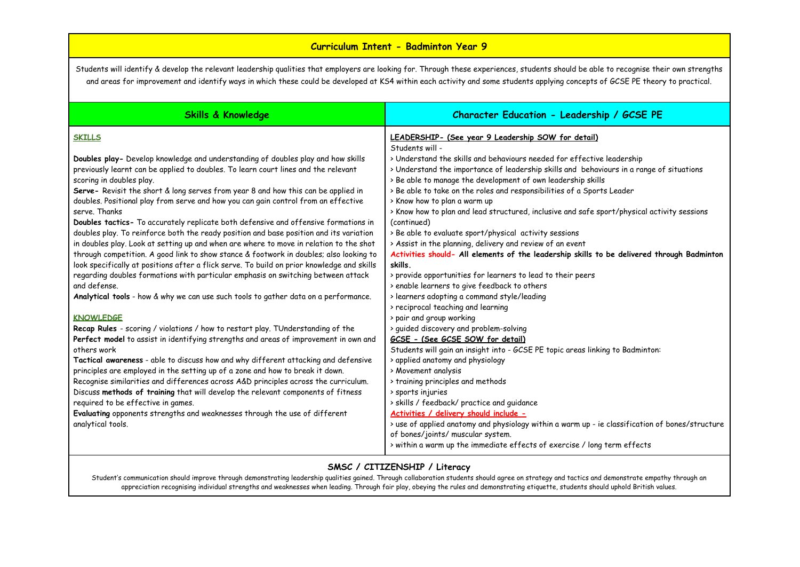### **Curriculum Intent - Badminton Year 9**

Students will identify & develop the relevant leadership qualities that employers are looking for. Through these experiences, students should be able to recognise their own strengths and areas for improvement and identify ways in which these could be developed at KS4 within each activity and some students applying concepts of GCSE PE theory to practical.

| <b>Skills &amp; Knowledge</b>                                                                                                                                                                                                                                                                                                                                                                                                                                                                                                                                                                                                                                                                                                                                                                                                                                                      | Character Education - Leadership / GCSE PE                                                                                                                                                                                                                                                                                                                                                                                                                                                                                                                                                                                                                                                                                                                          |
|------------------------------------------------------------------------------------------------------------------------------------------------------------------------------------------------------------------------------------------------------------------------------------------------------------------------------------------------------------------------------------------------------------------------------------------------------------------------------------------------------------------------------------------------------------------------------------------------------------------------------------------------------------------------------------------------------------------------------------------------------------------------------------------------------------------------------------------------------------------------------------|---------------------------------------------------------------------------------------------------------------------------------------------------------------------------------------------------------------------------------------------------------------------------------------------------------------------------------------------------------------------------------------------------------------------------------------------------------------------------------------------------------------------------------------------------------------------------------------------------------------------------------------------------------------------------------------------------------------------------------------------------------------------|
| <b>SKILLS</b><br>Doubles play- Develop knowledge and understanding of doubles play and how skills<br>previously learnt can be applied to doubles. To learn court lines and the relevant<br>scoring in doubles play.<br>Serve- Revisit the short & long serves from year 8 and how this can be applied in<br>doubles. Positional play from serve and how you can gain control from an effective<br>serve. Thanks<br>Doubles tactics- To accurately replicate both defensive and offensive formations in<br>doubles play. To reinforce both the ready position and base position and its variation<br>in doubles play. Look at setting up and when are where to move in relation to the shot<br>through competition. A good link to show stance & footwork in doubles; also looking to<br>look specifically at positions after a flick serve. To build on prior knowledge and skills | LEADERSHIP- (See year 9 Leadership SOW for detail)<br>Students will -<br>> Understand the skills and behaviours needed for effective leadership<br>> Understand the importance of leadership skills and behaviours in a range of situations<br>> Be able to manage the development of own leadership skills<br>> Be able to take on the roles and responsibilities of a Sports Leader<br>> Know how to plan a warm up<br>> Know how to plan and lead structured, inclusive and safe sport/physical activity sessions<br>(continued)<br>> Be able to evaluate sport/physical activity sessions<br>> Assist in the planning, delivery and review of an event<br>Activities should- All elements of the leadership skills to be delivered through Badminton<br>skills. |
| regarding doubles formations with particular emphasis on switching between attack<br>and defense.<br>Analytical tools - how & why we can use such tools to gather data on a performance.                                                                                                                                                                                                                                                                                                                                                                                                                                                                                                                                                                                                                                                                                           | > provide opportunities for learners to lead to their peers<br>> enable learners to give feedback to others<br>> learners adopting a command style/leading<br>> reciprocal teaching and learning                                                                                                                                                                                                                                                                                                                                                                                                                                                                                                                                                                    |
| <b>KNOWLEDGE</b><br>Recap Rules - scoring / violations / how to restart play. TUnderstanding of the<br>Perfect model to assist in identifying strengths and areas of improvement in own and<br>others work                                                                                                                                                                                                                                                                                                                                                                                                                                                                                                                                                                                                                                                                         | > pair and group working<br>> guided discovery and problem-solving<br>GCSE - (See GCSE SOW for detail)<br>Students will gain an insight into - GCSE PE topic areas linking to Badminton:                                                                                                                                                                                                                                                                                                                                                                                                                                                                                                                                                                            |
| Tactical awareness - able to discuss how and why different attacking and defensive<br>principles are employed in the setting up of a zone and how to break it down.<br>Recognise similarities and differences across A&D principles across the curriculum.<br>Discuss methods of training that will develop the relevant components of fitness                                                                                                                                                                                                                                                                                                                                                                                                                                                                                                                                     | > applied anatomy and physiology<br>> Movement analysis<br>> training principles and methods<br>> sports injuries                                                                                                                                                                                                                                                                                                                                                                                                                                                                                                                                                                                                                                                   |
| required to be effective in games.<br>Evaluating opponents strengths and weaknesses through the use of different<br>analytical tools.                                                                                                                                                                                                                                                                                                                                                                                                                                                                                                                                                                                                                                                                                                                                              | > skills / feedback/ practice and guidance<br>Activities / delivery should include -<br>> use of applied anatomy and physiology within a warm up - ie classification of bones/structure<br>of bones/joints/ muscular system.<br>> within a warm up the immediate effects of exercise / long term effects                                                                                                                                                                                                                                                                                                                                                                                                                                                            |

#### **SMSC / CITIZENSHIP / Literacy**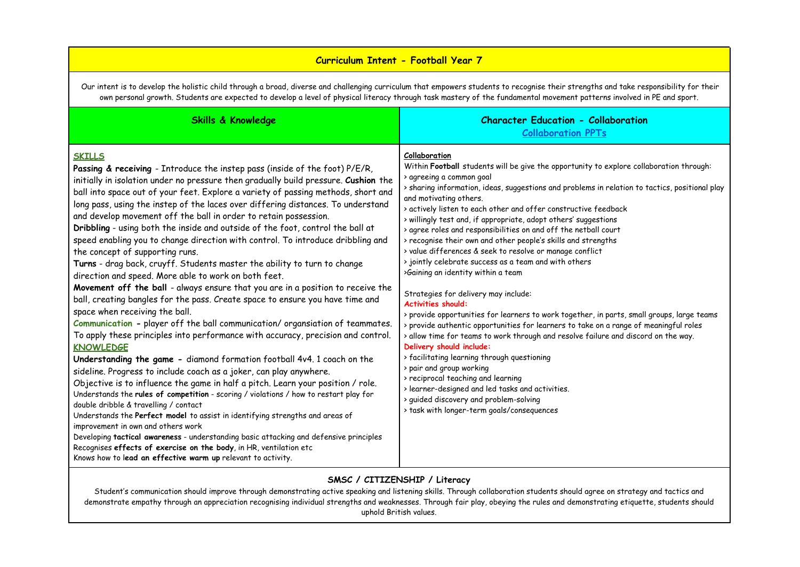## **Curriculum Intent - Football Year 7**

Our intent is to develop the holistic child through a broad, diverse and challenging curriculum that empowers students to recognise their strengths and take responsibility for their own personal growth. Students are expected to develop a level of physical literacy through task mastery of the fundamental movement patterns involved in PE and sport.

| <b>Skills &amp; Knowledge</b>                                                                                                                                                                                                                                                                                                                                                                                                                                                                                                                                                                                                                                                                                                                                                                                                                                                                                                                                                                                                                                                                                                                                                                                                                                                                                                                                                                                                                                                                                                                                                                                                                                                                                                                                                                                                                                                                           | <b>Character Education - Collaboration</b><br><b>Collaboration PPTs</b>                                                                                                                                                                                                                                                                                                                                                                                                                                                                                                                                                                                                                                                                                                                                                                                                                                                                                                                                                                                                                                                                                                                                                                                                                                                                          |
|---------------------------------------------------------------------------------------------------------------------------------------------------------------------------------------------------------------------------------------------------------------------------------------------------------------------------------------------------------------------------------------------------------------------------------------------------------------------------------------------------------------------------------------------------------------------------------------------------------------------------------------------------------------------------------------------------------------------------------------------------------------------------------------------------------------------------------------------------------------------------------------------------------------------------------------------------------------------------------------------------------------------------------------------------------------------------------------------------------------------------------------------------------------------------------------------------------------------------------------------------------------------------------------------------------------------------------------------------------------------------------------------------------------------------------------------------------------------------------------------------------------------------------------------------------------------------------------------------------------------------------------------------------------------------------------------------------------------------------------------------------------------------------------------------------------------------------------------------------------------------------------------------------|--------------------------------------------------------------------------------------------------------------------------------------------------------------------------------------------------------------------------------------------------------------------------------------------------------------------------------------------------------------------------------------------------------------------------------------------------------------------------------------------------------------------------------------------------------------------------------------------------------------------------------------------------------------------------------------------------------------------------------------------------------------------------------------------------------------------------------------------------------------------------------------------------------------------------------------------------------------------------------------------------------------------------------------------------------------------------------------------------------------------------------------------------------------------------------------------------------------------------------------------------------------------------------------------------------------------------------------------------|
| <b>SKILLS</b><br>Passing & receiving - Introduce the instep pass (inside of the foot) P/E/R,<br>initially in isolation under no pressure then gradually build pressure. Cushion the<br>ball into space out of your feet. Explore a variety of passing methods, short and<br>long pass, using the instep of the laces over differing distances. To understand<br>and develop movement off the ball in order to retain possession.<br>Dribbling - using both the inside and outside of the foot, control the ball at<br>speed enabling you to change direction with control. To introduce dribbling and<br>the concept of supporting runs.<br>Turns - drag back, cruyff. Students master the ability to turn to change<br>direction and speed. More able to work on both feet.<br>Movement off the ball - always ensure that you are in a position to receive the<br>ball, creating bangles for the pass. Create space to ensure you have time and<br>space when receiving the ball.<br>Communication - player off the ball communication/organsiation of teammates.<br>To apply these principles into performance with accuracy, precision and control.<br><b>KNOWLEDGE</b><br>Understanding the game - diamond formation football 4v4. 1 coach on the<br>sideline. Progress to include coach as a joker, can play anywhere.<br>Objective is to influence the game in half a pitch. Learn your position / role.<br>Understands the rules of competition - scoring / violations / how to restart play for<br>double dribble & travelling / contact<br>Understands the Perfect model to assist in identifying strengths and areas of<br>improvement in own and others work<br>Developing tactical awareness - understanding basic attacking and defensive principles<br>Recognises effects of exercise on the body, in HR, ventilation etc<br>Knows how to lead an effective warm up relevant to activity. | Collaboration<br>Within Football students will be give the opportunity to explore collaboration through:<br>> agreeing a common goal<br>> sharing information, ideas, suggestions and problems in relation to tactics, positional play<br>and motivating others.<br>> actively listen to each other and offer constructive feedback<br>> willingly test and, if appropriate, adopt others' suggestions<br>> agree roles and responsibilities on and off the netball court<br>> recognise their own and other people's skills and strengths<br>> value differences & seek to resolve or manage conflict<br>> jointly celebrate success as a team and with others<br>>Gaining an identity within a team<br>Strategies for delivery may include:<br><b>Activities should:</b><br>> provide opportunities for learners to work together, in parts, small groups, large teams<br>> provide authentic opportunities for learners to take on a range of meaningful roles<br>> allow time for teams to work through and resolve failure and discord on the way.<br>Delivery should include:<br>> facilitating learning through questioning<br>> pair and group working<br>> reciprocal teaching and learning<br>> learner-designed and led tasks and activities.<br>> guided discovery and problem-solving<br>> task with longer-term goals/consequences |

### **SMSC / CITIZENSHIP / Literacy**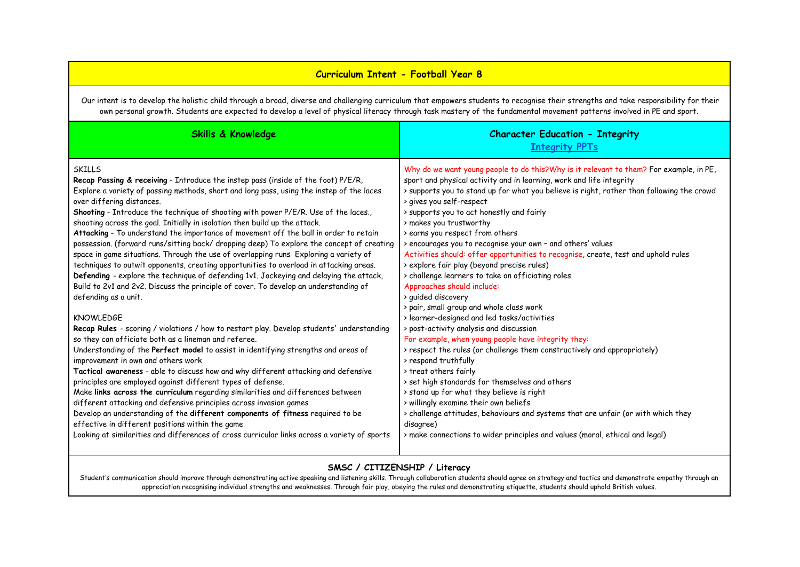## **Curriculum Intent - Football Year 8**

Our intent is to develop the holistic child through a broad, diverse and challenging curriculum that empowers students to recognise their strengths and take responsibility for their own personal growth. Students are expected to develop a level of physical literacy through task mastery of the fundamental movement patterns involved in PE and sport.

| <b>Skills &amp; Knowledge</b>                                                                                                                                                                                                                                                                                                                                                                                                                                                                                                                                                                                                                                                                                                                                                                                                                                                                                                                                                                                                                                                                                                                                                                                                                                                                                                                                                                                                                                                                                                                                                                                                                                                          | <b>Character Education - Integrity</b><br><b>Integrity PPTs</b>                                                                                                                                                                                                                                                                                                                                                                                                                                                                                                                                                                                                                                                                                                                                                                                                                                                                                                                                                                                                                                                                                                                                                                                                       |
|----------------------------------------------------------------------------------------------------------------------------------------------------------------------------------------------------------------------------------------------------------------------------------------------------------------------------------------------------------------------------------------------------------------------------------------------------------------------------------------------------------------------------------------------------------------------------------------------------------------------------------------------------------------------------------------------------------------------------------------------------------------------------------------------------------------------------------------------------------------------------------------------------------------------------------------------------------------------------------------------------------------------------------------------------------------------------------------------------------------------------------------------------------------------------------------------------------------------------------------------------------------------------------------------------------------------------------------------------------------------------------------------------------------------------------------------------------------------------------------------------------------------------------------------------------------------------------------------------------------------------------------------------------------------------------------|-----------------------------------------------------------------------------------------------------------------------------------------------------------------------------------------------------------------------------------------------------------------------------------------------------------------------------------------------------------------------------------------------------------------------------------------------------------------------------------------------------------------------------------------------------------------------------------------------------------------------------------------------------------------------------------------------------------------------------------------------------------------------------------------------------------------------------------------------------------------------------------------------------------------------------------------------------------------------------------------------------------------------------------------------------------------------------------------------------------------------------------------------------------------------------------------------------------------------------------------------------------------------|
| <b>SKILLS</b><br>Recap Passing & receiving - Introduce the instep pass (inside of the foot) P/E/R,<br>Explore a variety of passing methods, short and long pass, using the instep of the laces<br>over differing distances.<br>Shooting - Introduce the technique of shooting with power P/E/R. Use of the laces.,<br>shooting across the goal. Initially in isolation then build up the attack.<br>Attacking - To understand the importance of movement off the ball in order to retain<br>possession. (forward runs/sitting back/ dropping deep) To explore the concept of creating<br>space in game situations. Through the use of overlapping runs Exploring a variety of<br>techniques to outwit opponents, creating opportunities to overload in attacking areas.<br>Defending - explore the technique of defending 1v1. Jockeying and delaying the attack,<br>Build to 2v1 and 2v2. Discuss the principle of cover. To develop an understanding of<br>defending as a unit.<br><b>KNOWLEDGE</b><br>Recap Rules - scoring / violations / how to restart play. Develop students' understanding<br>so they can officiate both as a lineman and referee.<br>Understanding of the Perfect model to assist in identifying strengths and areas of<br>improvement in own and others work<br>Tactical awareness - able to discuss how and why different attacking and defensive<br>principles are employed against different types of defense.<br>Make links across the curriculum regarding similarities and differences between<br>different attacking and defensive principles across invasion games<br>Develop an understanding of the different components of fitness required to be | Why do we want young people to do this?Why is it relevant to them? For example, in PE,<br>sport and physical activity and in learning, work and life integrity<br>> supports you to stand up for what you believe is right, rather than following the crowd<br>> gives you self-respect<br>> supports you to act honestly and fairly<br>> makes you trustworthy<br>> earns you respect from others<br>> encourages you to recognise your own - and others' values<br>Activities should: offer opportunities to recognise, create, test and uphold rules<br>> explore fair play (beyond precise rules)<br>> challenge learners to take on officiating roles<br>Approaches should include:<br>> guided discovery<br>> pair, small group and whole class work<br>> learner-designed and led tasks/activities<br>> post-activity analysis and discussion<br>For example, when young people have integrity they:<br>> respect the rules (or challenge them constructively and appropriately)<br>> respond truthfully<br>> treat others fairly<br>> set high standards for themselves and others<br>> stand up for what they believe is right<br>> willingly examine their own beliefs<br>> challenge attitudes, behaviours and systems that are unfair (or with which they |
| effective in different positions within the game<br>Looking at similarities and differences of cross curricular links across a variety of sports                                                                                                                                                                                                                                                                                                                                                                                                                                                                                                                                                                                                                                                                                                                                                                                                                                                                                                                                                                                                                                                                                                                                                                                                                                                                                                                                                                                                                                                                                                                                       | disagree)<br>> make connections to wider principles and values (moral, ethical and legal)                                                                                                                                                                                                                                                                                                                                                                                                                                                                                                                                                                                                                                                                                                                                                                                                                                                                                                                                                                                                                                                                                                                                                                             |

#### **SMSC / CITIZENSHIP / Literacy**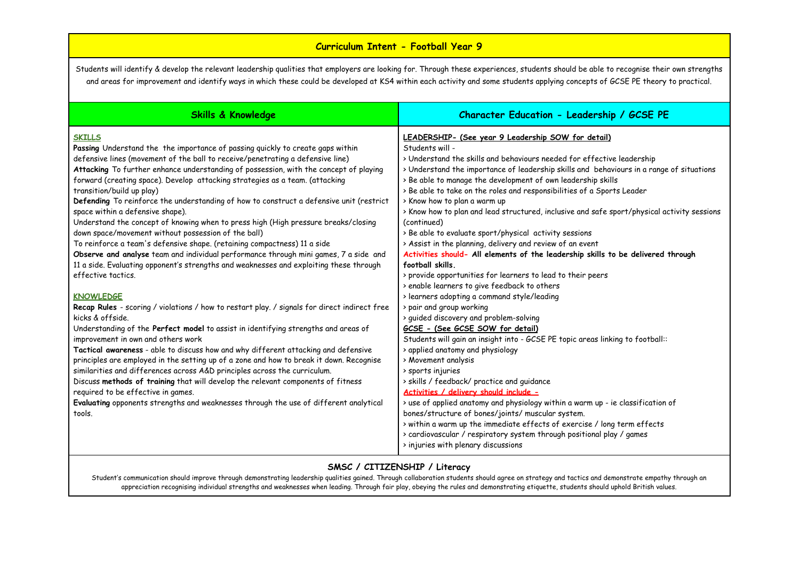# **Curriculum Intent - Football Year 9**

Students will identify & develop the relevant leadership qualities that employers are looking for. Through these experiences, students should be able to recognise their own strengths and areas for improvement and identify ways in which these could be developed at KS4 within each activity and some students applying concepts of GCSE PE theory to practical.

| <b>Skills &amp; Knowledge</b>                                                                                                                                                                                                                                                                                                                                                                                                                                                                                                                                                                                                                                                                                                                                                                                                                                                                                                                           | Character Education - Leadership / GCSE PE                                                                                                                                                                                                                                                                                                                                                                                                                                                                                                                                                                                                                                                                                                                                                                                        |
|---------------------------------------------------------------------------------------------------------------------------------------------------------------------------------------------------------------------------------------------------------------------------------------------------------------------------------------------------------------------------------------------------------------------------------------------------------------------------------------------------------------------------------------------------------------------------------------------------------------------------------------------------------------------------------------------------------------------------------------------------------------------------------------------------------------------------------------------------------------------------------------------------------------------------------------------------------|-----------------------------------------------------------------------------------------------------------------------------------------------------------------------------------------------------------------------------------------------------------------------------------------------------------------------------------------------------------------------------------------------------------------------------------------------------------------------------------------------------------------------------------------------------------------------------------------------------------------------------------------------------------------------------------------------------------------------------------------------------------------------------------------------------------------------------------|
| <b>SKILLS</b><br>Passing Understand the the importance of passing quickly to create gaps within<br>defensive lines (movement of the ball to receive/penetrating a defensive line)<br>Attacking To further enhance understanding of possession, with the concept of playing<br>forward (creating space). Develop attacking strategies as a team. (attacking<br>transition/build up play)<br>Defending To reinforce the understanding of how to construct a defensive unit (restrict<br>space within a defensive shape).<br>Understand the concept of knowing when to press high (High pressure breaks/closing<br>down space/movement without possession of the ball)<br>To reinforce a team's defensive shape. (retaining compactness) 11 a side<br>Observe and analyse team and individual performance through mini games, 7 a side and<br>11 a side. Evaluating opponent's strengths and weaknesses and exploiting these through<br>effective tactics. | LEADERSHIP- (See year 9 Leadership SOW for detail)<br>Students will -<br>> Understand the skills and behaviours needed for effective leadership<br>> Understand the importance of leadership skills and behaviours in a range of situations<br>> Be able to manage the development of own leadership skills<br>> Be able to take on the roles and responsibilities of a Sports Leader<br>> Know how to plan a warm up<br>> Know how to plan and lead structured, inclusive and safe sport/physical activity sessions<br>(continued)<br>> Be able to evaluate sport/physical activity sessions<br>> Assist in the planning, delivery and review of an event<br>Activities should- All elements of the leadership skills to be delivered through<br>football skills.<br>> provide opportunities for learners to lead to their peers |
| <b>KNOWLEDGE</b><br>Recap Rules - scoring / violations / how to restart play. / signals for direct indirect free<br>kicks & offside.<br>Understanding of the Perfect model to assist in identifying strengths and areas of<br>improvement in own and others work<br>Tactical awareness - able to discuss how and why different attacking and defensive<br>principles are employed in the setting up of a zone and how to break it down. Recognise<br>similarities and differences across A&D principles across the curriculum.<br>Discuss methods of training that will develop the relevant components of fitness<br>required to be effective in games.<br>Evaluating opponents strengths and weaknesses through the use of different analytical<br>tools.                                                                                                                                                                                             | > enable learners to give feedback to others<br>> learners adopting a command style/leading<br>> pair and group working<br>> guided discovery and problem-solving<br>GCSE - (See GCSE SOW for detail)<br>Students will gain an insight into - GCSE PE topic areas linking to football::<br>> applied anatomy and physiology<br>> Movement analysis<br>> sports injuries<br>> skills / feedback/ practice and guidance<br>Activities / delivery should include -<br>> use of applied anatomy and physiology within a warm up - ie classification of<br>bones/structure of bones/joints/ muscular system.<br>> within a warm up the immediate effects of exercise / long term effects<br>> cardiovascular / respiratory system through positional play / games<br>> injuries with plenary discussions                               |

#### **SMSC / CITIZENSHIP / Literacy**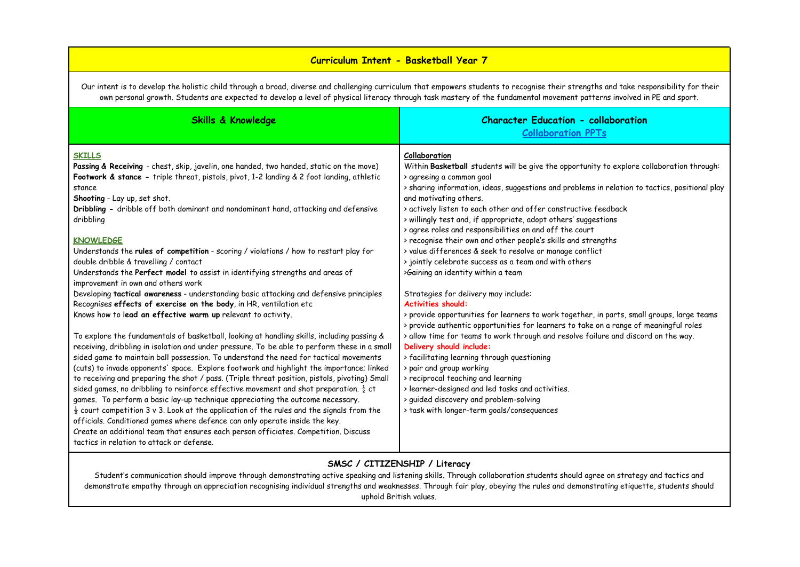## **Curriculum Intent - Basketball Year 7**

Our intent is to develop the holistic child through a broad, diverse and challenging curriculum that empowers students to recognise their strengths and take responsibility for their own personal growth. Students are expected to develop a level of physical literacy through task mastery of the fundamental movement patterns involved in PE and sport.

| <b>Skills &amp; Knowledge</b>                                                                                                                                                                                                                                                                                                                                                                                                                                                                                                                                                                                                                                                                                                                                                                                                                                                                                                                                                                     | <b>Character Education - collaboration</b><br><b>Collaboration PPTs</b>                                                                                                                                                                                                                                                                                                                                                                                                                                                                                                                                                                                                                         |
|---------------------------------------------------------------------------------------------------------------------------------------------------------------------------------------------------------------------------------------------------------------------------------------------------------------------------------------------------------------------------------------------------------------------------------------------------------------------------------------------------------------------------------------------------------------------------------------------------------------------------------------------------------------------------------------------------------------------------------------------------------------------------------------------------------------------------------------------------------------------------------------------------------------------------------------------------------------------------------------------------|-------------------------------------------------------------------------------------------------------------------------------------------------------------------------------------------------------------------------------------------------------------------------------------------------------------------------------------------------------------------------------------------------------------------------------------------------------------------------------------------------------------------------------------------------------------------------------------------------------------------------------------------------------------------------------------------------|
| <b>SKILLS</b><br>Passing & Receiving - chest, skip, javelin, one handed, two handed, static on the move)<br>Footwork & stance - triple threat, pistols, pivot, 1-2 landing & 2 foot landing, athletic<br>stance<br>Shooting - Lay up, set shot.<br>Dribbling - dribble off both dominant and nondominant hand, attacking and defensive<br>dribbling<br><b>KNOWLEDGE</b><br>Understands the rules of competition - scoring / violations / how to restart play for<br>double dribble & travelling / contact<br>Understands the Perfect model to assist in identifying strengths and areas of                                                                                                                                                                                                                                                                                                                                                                                                        | Collaboration<br>Within Basketball students will be give the opportunity to explore collaboration through:<br>> agreeing a common goal<br>> sharing information, ideas, suggestions and problems in relation to tactics, positional play<br>and motivating others.<br>> actively listen to each other and offer constructive feedback<br>> willingly test and, if appropriate, adopt others' suggestions<br>> agree roles and responsibilities on and off the court<br>> recognise their own and other people's skills and strengths<br>> value differences & seek to resolve or manage conflict<br>> jointly celebrate success as a team and with others<br>>Gaining an identity within a team |
| improvement in own and others work<br>Developing tactical awareness - understanding basic attacking and defensive principles<br>Recognises effects of exercise on the body, in HR, ventilation etc<br>Knows how to lead an effective warm up relevant to activity.                                                                                                                                                                                                                                                                                                                                                                                                                                                                                                                                                                                                                                                                                                                                | Strategies for delivery may include:<br><b>Activities should:</b><br>> provide opportunities for learners to work together, in parts, small groups, large teams<br>> provide authentic opportunities for learners to take on a range of meaningful roles                                                                                                                                                                                                                                                                                                                                                                                                                                        |
| To explore the fundamentals of basketball, looking at handling skills, including passing &<br>receiving, dribbling in isolation and under pressure. To be able to perform these in a small<br>sided game to maintain ball possession. To understand the need for tactical movements<br>(cuts) to invade opponents' space. Explore footwork and highlight the importance; linked<br>to receiving and preparing the shot / pass. (Triple threat position, pistols, pivoting) Small<br>sided games, no dribbling to reinforce effective movement and shot preparation. $\frac{1}{2}$ ct<br>games. To perform a basic lay-up technique appreciating the outcome necessary.<br>$\frac{1}{2}$ court competition 3 v 3. Look at the application of the rules and the signals from the<br>officials. Conditioned games where defence can only operate inside the key.<br>Create an additional team that ensures each person officiates. Competition. Discuss<br>tactics in relation to attack or defense. | > allow time for teams to work through and resolve failure and discord on the way.<br>Delivery should include:<br>> facilitating learning through questioning<br>> pair and group working<br>> reciprocal teaching and learning<br>> learner-designed and led tasks and activities.<br>> quided discovery and problem-solving<br>> task with longer-term goals/consequences                                                                                                                                                                                                                                                                                                                     |

### **SMSC / CITIZENSHIP / Literacy**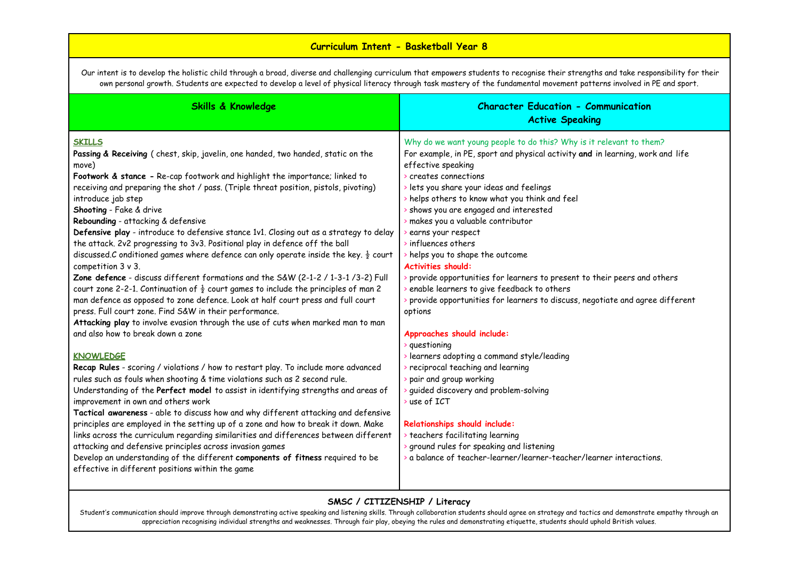# **Curriculum Intent - Basketball Year 8**

Our intent is to develop the holistic child through a broad, diverse and challenging curriculum that empowers students to recognise their strengths and take responsibility for their own personal growth. Students are expected to develop a level of physical literacy through task mastery of the fundamental movement patterns involved in PE and sport.

| <b>Skills &amp; Knowledge</b>                                                                                                                                                                                                                                                                                                                                                                                                                                                                                                                                                                                                                                                                                                                                                                                                                                                                                                                                                                                                                                                                                                                 | <b>Character Education - Communication</b><br><b>Active Speaking</b>                                                                                                                                                                                                                                                                                                                                                                                                                                                                                                                                                                                                                                                                                        |
|-----------------------------------------------------------------------------------------------------------------------------------------------------------------------------------------------------------------------------------------------------------------------------------------------------------------------------------------------------------------------------------------------------------------------------------------------------------------------------------------------------------------------------------------------------------------------------------------------------------------------------------------------------------------------------------------------------------------------------------------------------------------------------------------------------------------------------------------------------------------------------------------------------------------------------------------------------------------------------------------------------------------------------------------------------------------------------------------------------------------------------------------------|-------------------------------------------------------------------------------------------------------------------------------------------------------------------------------------------------------------------------------------------------------------------------------------------------------------------------------------------------------------------------------------------------------------------------------------------------------------------------------------------------------------------------------------------------------------------------------------------------------------------------------------------------------------------------------------------------------------------------------------------------------------|
| <b>SKILLS</b><br>Passing & Receiving (chest, skip, javelin, one handed, two handed, static on the<br>move)<br>Footwork & stance - Re-cap footwork and highlight the importance; linked to<br>receiving and preparing the shot / pass. (Triple threat position, pistols, pivoting)<br>introduce jab step<br>Shooting - Fake & drive<br>Rebounding - attacking & defensive<br>Defensive play - introduce to defensive stance 1v1. Closing out as a strategy to delay<br>the attack. 2v2 progressing to 3v3. Positional play in defence off the ball<br>discussed.C onditioned games where defence can only operate inside the key. $\frac{1}{2}$ court<br>competition $3 \vee 3$ .<br>Zone defence - discuss different formations and the S&W (2-1-2 / 1-3-1 /3-2) Full<br>court zone 2-2-1. Continuation of $\frac{1}{2}$ court games to include the principles of man 2<br>man defence as opposed to zone defence. Look at half court press and full court<br>press. Full court zone. Find S&W in their performance.<br>Attacking play to involve evasion through the use of cuts when marked man to man<br>and also how to break down a zone | Why do we want young people to do this? Why is it relevant to them?<br>For example, in PE, sport and physical activity and in learning, work and life<br>effective speaking<br>$\ge$ creates connections<br>lets you share your ideas and feelings<br>helps others to know what you think and feel<br>shows you are engaged and interested<br>makes you a valuable contributor<br>earns your respect<br>influences others<br>helps you to shape the outcome<br><b>Activities should:</b><br>> provide opportunities for learners to present to their peers and others<br>enable learners to give feedback to others<br>provide opportunities for learners to discuss, negotiate and agree different<br>options<br>Approaches should include:<br>guestioning |
| <b>KNOWLEDGE</b><br>Recap Rules - scoring / violations / how to restart play. To include more advanced<br>rules such as fouls when shooting & time violations such as 2 second rule.<br>Understanding of the Perfect model to assist in identifying strengths and areas of<br>improvement in own and others work<br>Tactical awareness - able to discuss how and why different attacking and defensive<br>principles are employed in the setting up of a zone and how to break it down. Make<br>links across the curriculum regarding similarities and differences between different<br>attacking and defensive principles across invasion games<br>Develop an understanding of the different components of fitness required to be<br>effective in different positions within the game                                                                                                                                                                                                                                                                                                                                                        | learners adopting a command style/leading<br>reciprocal teaching and learning<br>pair and group working<br>guided discovery and problem-solving<br>$\rightarrow$ use of ICT<br>Relationships should include:<br>teachers facilitating learning<br>ground rules for speaking and listening<br>a balance of teacher-learner/learner-teacher/learner interactions.                                                                                                                                                                                                                                                                                                                                                                                             |

### **SMSC / CITIZENSHIP / Literacy**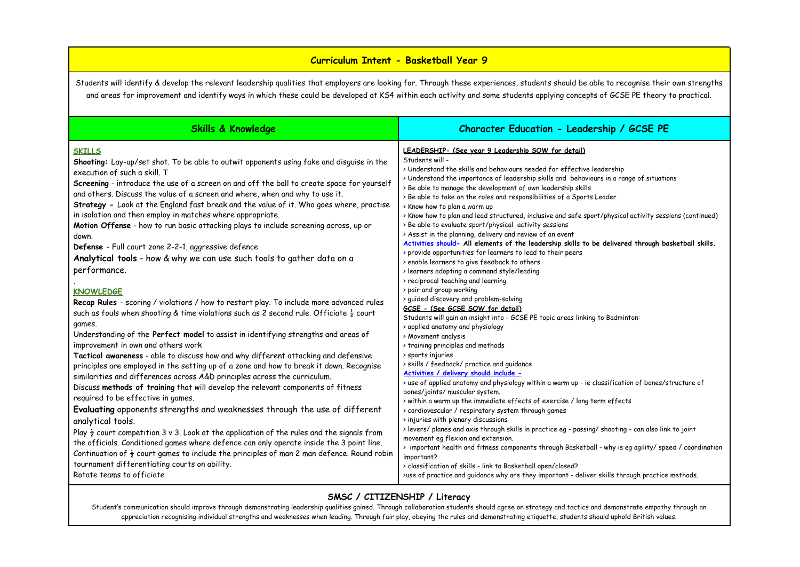### **Curriculum Intent - Basketball Year 9**

Students will identify & develop the relevant leadership qualities that employers are looking for. Through these experiences, students should be able to recognise their own strengths and areas for improvement and identify ways in which these could be developed at KS4 within each activity and some students applying concepts of GCSE PE theory to practical.

| <b>Skills &amp; Knowledge</b>                                                                                                                                                                                                                                                                                                                                                                                                                                                                                                                                                                                                                                                                                                                                                                                                                                                                                                                                                                                                                                                                                                                                                                                                                                                                                                                                                                                                                                                                                                                                                             | Character Education - Leadership / GCSE PE                                                                                                                                                                                                                                                                                                                                                                                                                                                                                                                                                                                                                                                                                                                                                                                                                                                                                                                                                                                                                                                                                                                                                                                                                                                                                                                                                                                                                                                                                                                                                                                                                                                    |
|-------------------------------------------------------------------------------------------------------------------------------------------------------------------------------------------------------------------------------------------------------------------------------------------------------------------------------------------------------------------------------------------------------------------------------------------------------------------------------------------------------------------------------------------------------------------------------------------------------------------------------------------------------------------------------------------------------------------------------------------------------------------------------------------------------------------------------------------------------------------------------------------------------------------------------------------------------------------------------------------------------------------------------------------------------------------------------------------------------------------------------------------------------------------------------------------------------------------------------------------------------------------------------------------------------------------------------------------------------------------------------------------------------------------------------------------------------------------------------------------------------------------------------------------------------------------------------------------|-----------------------------------------------------------------------------------------------------------------------------------------------------------------------------------------------------------------------------------------------------------------------------------------------------------------------------------------------------------------------------------------------------------------------------------------------------------------------------------------------------------------------------------------------------------------------------------------------------------------------------------------------------------------------------------------------------------------------------------------------------------------------------------------------------------------------------------------------------------------------------------------------------------------------------------------------------------------------------------------------------------------------------------------------------------------------------------------------------------------------------------------------------------------------------------------------------------------------------------------------------------------------------------------------------------------------------------------------------------------------------------------------------------------------------------------------------------------------------------------------------------------------------------------------------------------------------------------------------------------------------------------------------------------------------------------------|
| <b>SKILLS</b><br>Shooting: Lay-up/set shot. To be able to outwit opponents using fake and disguise in the<br>execution of such a skill. T<br>Screening - introduce the use of a screen on and off the ball to create space for yourself<br>and others. Discuss the value of a screen and where, when and why to use it.<br>Strategy - Look at the England fast break and the value of it. Who goes where, practise<br>in isolation and then employ in matches where appropriate.<br>Motion Offense - how to run basic attacking plays to include screening across, up or<br>down.<br>Defense - Full court zone 2-2-1, aggressive defence<br>Analytical tools - how & why we can use such tools to gather data on a<br>performance.<br><b>KNOWLEDGE</b><br>Recap Rules - scoring / violations / how to restart play. To include more advanced rules<br>such as fouls when shooting & time violations such as 2 second rule. Officiate $\frac{1}{2}$ court<br>games.<br>Understanding of the Perfect model to assist in identifying strengths and areas of<br>improvement in own and others work<br>Tactical awareness - able to discuss how and why different attacking and defensive<br>principles are employed in the setting up of a zone and how to break it down. Recognise<br>similarities and differences across A&D principles across the curriculum.<br>Discuss methods of training that will develop the relevant components of fitness<br>required to be effective in games.<br>Evaluating opponents strengths and weaknesses through the use of different<br>analytical tools. | LEADERSHIP- (See year 9 Leadership SOW for detail)<br>Students will -<br>> Understand the skills and behaviours needed for effective leadership<br>> Understand the importance of leadership skills and behaviours in a range of situations<br>> Be able to manage the development of own leadership skills<br>> Be able to take on the roles and responsibilities of a Sports Leader<br>> Know how to plan a warm up<br>> Know how to plan and lead structured, inclusive and safe sport/physical activity sessions (continued)<br>> Be able to evaluate sport/physical activity sessions<br>> Assist in the planning, delivery and review of an event<br>Activities should- All elements of the leadership skills to be delivered through basketball skills.<br>> provide opportunities for learners to lead to their peers<br>> enable learners to give feedback to others<br>> learners adopting a command style/leading<br>> reciprocal teaching and learning<br>> pair and group working<br>> guided discovery and problem-solving<br>GCSE - (See GCSE SOW for detail)<br>Students will gain an insight into - GCSE PE topic areas linking to Badminton:<br>> applied anatomy and physiology<br>> Movement analysis<br>> training principles and methods<br>> sports injuries<br>> skills / feedback/ practice and quidance<br>Activities / delivery should include -<br>> use of applied anatomy and physiology within a warm up - ie classification of bones/structure of<br>bones/joints/ muscular system.<br>> within a warm up the immediate effects of exercise / long term effects<br>> cardiovascular / respiratory system through games<br>> injuries with plenary discussions |
| Play $\frac{1}{2}$ court competition 3 v 3. Look at the application of the rules and the signals from<br>the officials. Conditioned games where defence can only operate inside the 3 point line.<br>Continuation of $\frac{1}{2}$ court games to include the principles of man 2 man defence. Round robin<br>tournament differentiating courts on ability.<br>Rotate teams to officiate                                                                                                                                                                                                                                                                                                                                                                                                                                                                                                                                                                                                                                                                                                                                                                                                                                                                                                                                                                                                                                                                                                                                                                                                  | > levers/ planes and axis through skills in practice eg - passing/ shooting - can also link to joint<br>movement eg flexion and extension.<br>> important health and fitness components through Basketball - why is eg agility/ speed / coordination<br>important?<br>> classification of skills - link to Basketball open/closed?<br>>use of practice and guidance why are they important - deliver skills through practice methods.                                                                                                                                                                                                                                                                                                                                                                                                                                                                                                                                                                                                                                                                                                                                                                                                                                                                                                                                                                                                                                                                                                                                                                                                                                                         |

### **SMSC / CITIZENSHIP / Literacy**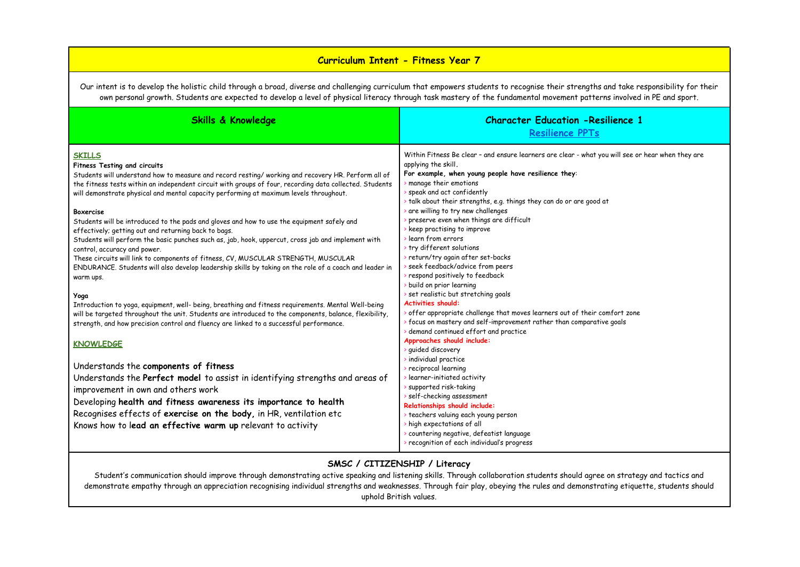# **Curriculum Intent - Fitness Year 7**

Our intent is to develop the holistic child through a broad, diverse and challenging curriculum that empowers students to recognise their strengths and take responsibility for their own personal growth. Students are expected to develop a level of physical literacy through task mastery of the fundamental movement patterns involved in PE and sport.

| <b>Skills &amp; Knowledge</b>                                                                                                                                                                                                                                                                                                                                                                                                                                                                                                                                                                                                                                                                                                                                                                                                                                                         | <b>Character Education - Resilience 1</b><br>Resilience PPTs                                                                                                                                                                                                                                                                                                                                                                                                                                                                                                                                                                                    |
|---------------------------------------------------------------------------------------------------------------------------------------------------------------------------------------------------------------------------------------------------------------------------------------------------------------------------------------------------------------------------------------------------------------------------------------------------------------------------------------------------------------------------------------------------------------------------------------------------------------------------------------------------------------------------------------------------------------------------------------------------------------------------------------------------------------------------------------------------------------------------------------|-------------------------------------------------------------------------------------------------------------------------------------------------------------------------------------------------------------------------------------------------------------------------------------------------------------------------------------------------------------------------------------------------------------------------------------------------------------------------------------------------------------------------------------------------------------------------------------------------------------------------------------------------|
| <b>SKILLS</b><br>Fitness Testing and circuits<br>Students will understand how to measure and record resting/working and recovery HR. Perform all of<br>the fitness tests within an independent circuit with groups of four, recording data collected. Students<br>will demonstrate physical and mental capacity performing at maximum levels throughout.<br><b>Boxercise</b><br>Students will be introduced to the pads and gloves and how to use the equipment safely and<br>effectively; getting out and returning back to bags.<br>Students will perform the basic punches such as, jab, hook, uppercut, cross jab and implement with<br>control, accuracy and power.<br>These circuits will link to components of fitness, CV, MUSCULAR STRENGTH, MUSCULAR<br>ENDURANCE. Students will also develop leadership skills by taking on the role of a coach and leader in<br>warm ups. | Within Fitness Be clear - and ensure learners are clear - what you will see or hear when they are<br>applying the skill.<br>For example, when young people have resilience they:<br>manage their emotions<br>speak and act confidently<br>talk about their strengths, e.g. things they can do or are good at<br>are willing to try new challenges<br>preserve even when things are difficult<br>keep practising to improve<br>learn from errors<br>try different solutions<br>> return/try again after set-backs<br>seek feedback/advice from peers<br>respond positively to feedback<br>build on prior learning                                |
| Yoga<br>Introduction to yoga, equipment, well- being, breathing and fitness requirements. Mental Well-being<br>will be targeted throughout the unit. Students are introduced to the components, balance, flexibility,<br>strength, and how precision control and fluency are linked to a successful performance.<br><b>KNOWLEDGE</b><br>Understands the components of fitness<br>Understands the Perfect model to assist in identifying strengths and areas of<br>improvement in own and others work<br>Developing health and fitness awareness its importance to health<br>Recognises effects of exercise on the body, in HR, ventilation etc<br>Knows how to lead an effective warm up relevant to activity                                                                                                                                                                         | set realistic but stretching goals<br><b>Activities should:</b><br>offer appropriate challenge that moves learners out of their comfort zone<br>> focus on mastery and self-improvement rather than comparative goals<br>demand continued effort and practice<br>Approaches should include:<br>quided discovery<br>individual practice<br>reciprocal learning<br>learner-initiated activity<br>supported risk-taking<br>self-checking assessment<br>Relationships should include:<br>> teachers valuing each young person<br>high expectations of all<br>countering negative, defeatist language<br>> recognition of each individual's progress |

#### **SMSC / CITIZENSHIP / Literacy**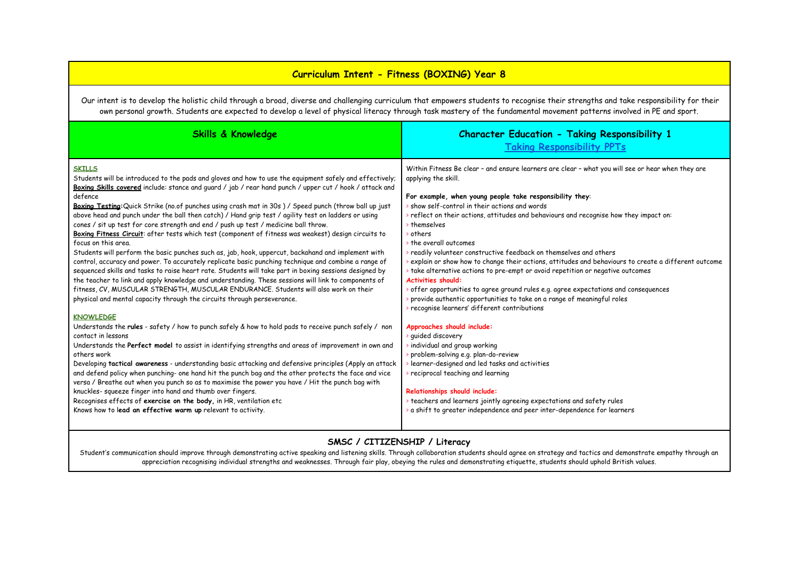## **Curriculum Intent - Fitness (BOXING) Year 8**

Our intent is to develop the holistic child through a broad, diverse and challenging curriculum that empowers students to recognise their strengths and take responsibility for their own personal growth. Students are expected to develop a level of physical literacy through task mastery of the fundamental movement patterns involved in PE and sport.

| <b>Skills &amp; Knowledge</b>                                                                                                                                                                                                                                                                                                                                                                                                                                                                                                                                                                                                                                                                                                                                                                                                                                                                                                                                                                                                                                                                                                                                                                                                                                                                                                                                                                                                                                                                                                                                                                                                                                                                                                                                                                                                                                                                                                                                                                                                                                                                | <b>Character Education - Taking Responsibility 1</b><br><b>Taking Responsibility PPTs</b>                                                                                                                                                                                                                                                                                                                                                                                                                                                                                                                                                                                                                                                                                                                                                                                                                                                                                                                                                                                                                                                                                                                                                                                                                                          |
|----------------------------------------------------------------------------------------------------------------------------------------------------------------------------------------------------------------------------------------------------------------------------------------------------------------------------------------------------------------------------------------------------------------------------------------------------------------------------------------------------------------------------------------------------------------------------------------------------------------------------------------------------------------------------------------------------------------------------------------------------------------------------------------------------------------------------------------------------------------------------------------------------------------------------------------------------------------------------------------------------------------------------------------------------------------------------------------------------------------------------------------------------------------------------------------------------------------------------------------------------------------------------------------------------------------------------------------------------------------------------------------------------------------------------------------------------------------------------------------------------------------------------------------------------------------------------------------------------------------------------------------------------------------------------------------------------------------------------------------------------------------------------------------------------------------------------------------------------------------------------------------------------------------------------------------------------------------------------------------------------------------------------------------------------------------------------------------------|------------------------------------------------------------------------------------------------------------------------------------------------------------------------------------------------------------------------------------------------------------------------------------------------------------------------------------------------------------------------------------------------------------------------------------------------------------------------------------------------------------------------------------------------------------------------------------------------------------------------------------------------------------------------------------------------------------------------------------------------------------------------------------------------------------------------------------------------------------------------------------------------------------------------------------------------------------------------------------------------------------------------------------------------------------------------------------------------------------------------------------------------------------------------------------------------------------------------------------------------------------------------------------------------------------------------------------|
| <b>SKILLS</b><br>Students will be introduced to the pads and gloves and how to use the equipment safely and effectively;<br>Boxing Skills covered include: stance and guard / jab / rear hand punch / upper cut / hook / attack and<br>defence<br>Boxina Testing: Quick Strike (no.of punches using crash mat in 30s) / Speed punch (throw ball up just<br>above head and punch under the ball then catch) / Hand grip test / agility test on ladders or using<br>cones / sit up test for core strength and end / push up test / medicine ball throw.<br>Boxing Fitness Circuit: after tests which test (component of fitness was weakest) design circuits to<br>focus on this area.<br>Students will perform the basic punches such as, jab, hook, uppercut, backahand and implement with<br>control, accuracy and power. To accurately replicate basic punching technique and combine a range of<br>sequenced skills and tasks to raise heart rate. Students will take part in boxing sessions designed by<br>the teacher to link and apply knowledge and understanding. These sessions will link to components of<br>fitness, CV, MUSCULAR STRENGTH, MUSCULAR ENDURANCE. Students will also work on their<br>physical and mental capacity through the circuits through perseverance.<br><b>KNOWLEDGE</b><br>Understands the rules - safety / how to punch safely & how to hold pads to receive punch safely / non<br>contact in lessons<br>Understands the Perfect model to assist in identifying strengths and areas of improvement in own and<br>others work<br>Developing tactical awareness - understanding basic attacking and defensive principles (Apply an attack<br>and defend policy when punching- one hand hit the punch bag and the other protects the face and vice<br>versa / Breathe out when you punch so as to maximise the power you have / Hit the punch bag with<br>knuckles- squeeze finger into hand and thumb over fingers.<br>Recognises effects of exercise on the body, in HR, ventilation etc<br>Knows how to lead an effective warm up relevant to activity. | Within Fitness Be clear - and ensure learners are clear - what you will see or hear when they are<br>applying the skill.<br>For example, when young people take responsibility they:<br>$\rightarrow$ show self-control in their actions and words<br>$\triangleright$ reflect on their actions, attitudes and behaviours and recognise how they impact on:<br>> themselves<br>others<br>the overall outcomes<br>readily volunteer constructive feedback on themselves and others<br>explain or show how to change their actions, attitudes and behaviours to create a different outcome<br>> take alternative actions to pre-empt or avoid repetition or negative outcomes<br><b>Activities should:</b><br>$\cdot$ offer opportunities to agree ground rules e.g. agree expectations and consequences<br>provide authentic opportunities to take on a range of meaningful roles<br>recognise learners' different contributions<br>Approaches should include:<br>quided discovery<br>individual and group working<br>problem-solving e.g. plan-do-review<br>learner-designed and led tasks and activities<br>reciprocal teaching and learning<br>Relationships should include:<br>> teachers and learners jointly agreeing expectations and safety rules<br>a shift to greater independence and peer inter-dependence for learners |

#### **SMSC / CITIZENSHIP / Literacy**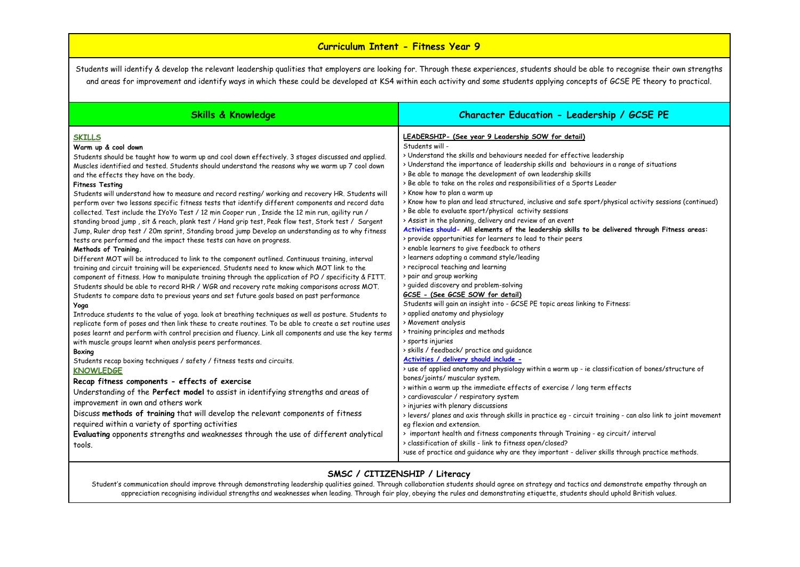## **Curriculum Intent - Fitness Year 9**

Students will identify & develop the relevant leadership qualities that employers are looking for. Through these experiences, students should be able to recognise their own strengths and areas for improvement and identify ways in which these could be developed at KS4 within each activity and some students applying concepts of GCSE PE theory to practical.

| <b>Skills &amp; Knowledge</b>                                                                                                                                                                                                                                                                                                                                                                                                                                                                                                                                                                                                                                                                                                                                                                                                                                                                                                                                                                                                                                                                                                                                                                                                                                                                                                                                                                                                                                                                                                                                                                                                                                                                                                                                                                                                                                                                                                                                                                                                                                                                                                                                                                                                                                                                                                                                                             | Character Education - Leadership / GCSE PE                                                                                                                                                                                                                                                                                                                                                                                                                                                                                                                                                                                                                                                                                                                                                                                                                                                                                                                                                                                                                                                                                                                                                                                                                                                                                                                                                                                                                                                                                                                                                                                                                                                                                                                                                                                                                                                                  |
|-------------------------------------------------------------------------------------------------------------------------------------------------------------------------------------------------------------------------------------------------------------------------------------------------------------------------------------------------------------------------------------------------------------------------------------------------------------------------------------------------------------------------------------------------------------------------------------------------------------------------------------------------------------------------------------------------------------------------------------------------------------------------------------------------------------------------------------------------------------------------------------------------------------------------------------------------------------------------------------------------------------------------------------------------------------------------------------------------------------------------------------------------------------------------------------------------------------------------------------------------------------------------------------------------------------------------------------------------------------------------------------------------------------------------------------------------------------------------------------------------------------------------------------------------------------------------------------------------------------------------------------------------------------------------------------------------------------------------------------------------------------------------------------------------------------------------------------------------------------------------------------------------------------------------------------------------------------------------------------------------------------------------------------------------------------------------------------------------------------------------------------------------------------------------------------------------------------------------------------------------------------------------------------------------------------------------------------------------------------------------------------------|-------------------------------------------------------------------------------------------------------------------------------------------------------------------------------------------------------------------------------------------------------------------------------------------------------------------------------------------------------------------------------------------------------------------------------------------------------------------------------------------------------------------------------------------------------------------------------------------------------------------------------------------------------------------------------------------------------------------------------------------------------------------------------------------------------------------------------------------------------------------------------------------------------------------------------------------------------------------------------------------------------------------------------------------------------------------------------------------------------------------------------------------------------------------------------------------------------------------------------------------------------------------------------------------------------------------------------------------------------------------------------------------------------------------------------------------------------------------------------------------------------------------------------------------------------------------------------------------------------------------------------------------------------------------------------------------------------------------------------------------------------------------------------------------------------------------------------------------------------------------------------------------------------------|
| <b>SKILLS</b><br>Warm up & cool down<br>Students should be taught how to warm up and cool down effectively. 3 stages discussed and applied.<br>Muscles identified and tested. Students should understand the reasons why we warm up 7 cool down<br>and the effects they have on the body.<br><b>Fitness Testing</b><br>Students will understand how to measure and record resting/ working and recovery HR. Students will<br>perform over two lessons specific fitness tests that identify different components and record data<br>collected. Test include the IYoYo Test / 12 min Cooper run, Inside the 12 min run, agility run /<br>standing broad jump, sit & reach, plank test / Hand grip test, Peak flow test, Stork test / Sargent<br>Jump, Ruler drop test / 20m sprint, Standing broad jump Develop an understanding as to why fitness<br>tests are performed and the impact these tests can have on progress.<br>Methods of Training.<br>Different MOT will be introduced to link to the component outlined. Continuous training, interval<br>training and circuit training will be experienced. Students need to know which MOT link to the<br>component of fitness. How to manipulate training through the application of PO / specificity & FITT.<br>Students should be able to record RHR / WGR and recovery rate making comparisons across MOT.<br>Students to compare data to previous years and set future goals based on past performance<br>Yoga<br>Introduce students to the value of yoga. look at breathing techniques as well as posture. Students to<br>replicate form of poses and then link these to create routines. To be able to create a set routine uses<br>poses learnt and perform with control precision and fluency. Link all components and use the key terms<br>with muscle groups learnt when analysis peers performances.<br>Boxing<br>Students recap boxing techniques / safety / fitness tests and circuits.<br><b>KNOWLEDGE</b><br>Recap fitness components - effects of exercise<br>Understanding of the Perfect model to assist in identifying strengths and areas of<br>improvement in own and others work<br>Discuss methods of training that will develop the relevant components of fitness<br>required within a variety of sporting activities<br>Evaluating opponents strengths and weaknesses through the use of different analytical | LEADERSHIP- (See year 9 Leadership SOW for detail)<br>Students will -<br>> Understand the skills and behaviours needed for effective leadership<br>> Understand the importance of leadership skills and behaviours in a range of situations<br>> Be able to manage the development of own leadership skills<br>> Be able to take on the roles and responsibilities of a Sports Leader<br>> Know how to plan a warm up<br>> Know how to plan and lead structured, inclusive and safe sport/physical activity sessions (continued)<br>> Be able to evaluate sport/physical activity sessions<br>> Assist in the planning, delivery and review of an event<br>Activities should- All elements of the leadership skills to be delivered through Fitness areas:<br>> provide opportunities for learners to lead to their peers<br>> enable learners to give feedback to others<br>> learners adopting a command style/leading<br>> reciprocal teaching and learning<br>> pair and group working<br>> guided discovery and problem-solving<br>GCSE - (See GCSE SOW for detail)<br>Students will gain an insight into - GCSE PE topic areas linking to Fitness:<br>> applied anatomy and physiology<br>> Movement analysis<br>> training principles and methods<br>> sports injuries<br>> skills / feedback/ practice and guidance<br>Activities / delivery should include -<br>> use of applied anatomy and physiology within a warm up - ie classification of bones/structure of<br>bones/joints/ muscular system.<br>> within a warm up the immediate effects of exercise / long term effects<br>> cardiovascular / respiratory system<br>> injuries with plenary discussions<br>> levers/ planes and axis through skills in practice eg - circuit training - can also link to joint movement<br>eg flexion and extension.<br>> important health and fitness components through Training - eg circuit/ interval |
| tools.                                                                                                                                                                                                                                                                                                                                                                                                                                                                                                                                                                                                                                                                                                                                                                                                                                                                                                                                                                                                                                                                                                                                                                                                                                                                                                                                                                                                                                                                                                                                                                                                                                                                                                                                                                                                                                                                                                                                                                                                                                                                                                                                                                                                                                                                                                                                                                                    | > classification of skills - link to fitness open/closed?<br>>use of practice and guidance why are they important - deliver skills through practice methods.                                                                                                                                                                                                                                                                                                                                                                                                                                                                                                                                                                                                                                                                                                                                                                                                                                                                                                                                                                                                                                                                                                                                                                                                                                                                                                                                                                                                                                                                                                                                                                                                                                                                                                                                                |

### **SMSC / CITIZENSHIP / Literacy**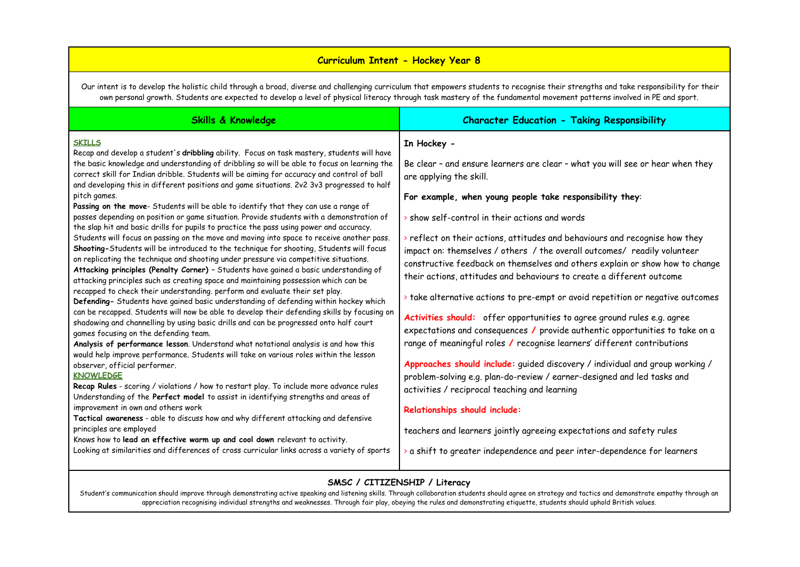## **Curriculum Intent - Hockey Year 8**

Our intent is to develop the holistic child through a broad, diverse and challenging curriculum that empowers students to recognise their strengths and take responsibility for their own personal growth. Students are expected to develop a level of physical literacy through task mastery of the fundamental movement patterns involved in PE and sport.

| Skills & Knowledge                                                                                                                                                                                                                                                                                                                                                                                                                                                                                                                                                                                                                                                                                                                                                                                                                                                                                                                                                                                                                                                                                                                                                                                                                                                                                                                                                                                                                                                                                                                                                                                                                                                                                                                                                                                                                                                                                                                                                                                                                                                                                                                                                                                                                                                                                                                      | <b>Character Education - Taking Responsibility</b>                                                                                                                                                                                                                                                                                                                                                                                                                                                                                                                                                                                                                                                                                                                                                                                                                                                                                                                                                                                                                                                                                                                                                                                                                                            |
|-----------------------------------------------------------------------------------------------------------------------------------------------------------------------------------------------------------------------------------------------------------------------------------------------------------------------------------------------------------------------------------------------------------------------------------------------------------------------------------------------------------------------------------------------------------------------------------------------------------------------------------------------------------------------------------------------------------------------------------------------------------------------------------------------------------------------------------------------------------------------------------------------------------------------------------------------------------------------------------------------------------------------------------------------------------------------------------------------------------------------------------------------------------------------------------------------------------------------------------------------------------------------------------------------------------------------------------------------------------------------------------------------------------------------------------------------------------------------------------------------------------------------------------------------------------------------------------------------------------------------------------------------------------------------------------------------------------------------------------------------------------------------------------------------------------------------------------------------------------------------------------------------------------------------------------------------------------------------------------------------------------------------------------------------------------------------------------------------------------------------------------------------------------------------------------------------------------------------------------------------------------------------------------------------------------------------------------------|-----------------------------------------------------------------------------------------------------------------------------------------------------------------------------------------------------------------------------------------------------------------------------------------------------------------------------------------------------------------------------------------------------------------------------------------------------------------------------------------------------------------------------------------------------------------------------------------------------------------------------------------------------------------------------------------------------------------------------------------------------------------------------------------------------------------------------------------------------------------------------------------------------------------------------------------------------------------------------------------------------------------------------------------------------------------------------------------------------------------------------------------------------------------------------------------------------------------------------------------------------------------------------------------------|
| <b>SKILLS</b><br>Recap and develop a student's dribbling ability. Focus on task mastery, students will have<br>the basic knowledge and understanding of dribbling so will be able to focus on learning the<br>correct skill for Indian dribble. Students will be aiming for accuracy and control of ball<br>and developing this in different positions and game situations. 2v2 3v3 progressed to half<br>pitch games.<br>Passing on the move- Students will be able to identify that they can use a range of<br>passes depending on position or game situation. Provide students with a demonstration of<br>the slap hit and basic drills for pupils to practice the pass using power and accuracy.<br>Students will focus on passing on the move and moving into space to receive another pass.<br>Shooting-Students will be introduced to the technique for shooting, Students will focus<br>on replicating the technique and shooting under pressure via competitive situations.<br>Attacking principles (Penalty Corner) - Students have gained a basic understanding of<br>attacking principles such as creating space and maintaining possession which can be<br>recapped to check their understanding. perform and evaluate their set play.<br>Defending- Students have gained basic understanding of defending within hockey which<br>can be recapped. Students will now be able to develop their defending skills by focusing on<br>shadowing and channelling by using basic drills and can be progressed onto half court<br>games focusing on the defending team.<br>Analysis of performance lesson. Understand what notational analysis is and how this<br>would help improve performance. Students will take on various roles within the lesson<br>observer, official performer.<br><b>KNOWLEDGE</b><br>Recap Rules - scoring / violations / how to restart play. To include more advance rules<br>Understanding of the Perfect model to assist in identifying strengths and areas of<br>improvement in own and others work<br>Tactical awareness - able to discuss how and why different attacking and defensive<br>principles are employed<br>Knows how to lead an effective warm up and cool down relevant to activity.<br>Looking at similarities and differences of cross curricular links across a variety of sports | In Hockey -<br>Be clear - and ensure learners are clear - what you will see or hear when they<br>are applying the skill.<br>For example, when young people take responsibility they:<br>> show self-control in their actions and words<br>> reflect on their actions, attitudes and behaviours and recognise how they<br>impact on: themselves / others / the overall outcomes/ readily volunteer<br>constructive feedback on themselves and others explain or show how to change<br>their actions, attitudes and behaviours to create a different outcome<br>If take alternative actions to pre-empt or avoid repetition or negative outcomes<br>Activities should: offer opportunities to agree ground rules e.g. agree<br>expectations and consequences / provide authentic opportunities to take on a<br>range of meaningful roles / recognise learners' different contributions<br>Approaches should include: guided discovery / individual and group working /<br>problem-solving e.g. plan-do-review / earner-designed and led tasks and<br>activities / reciprocal teaching and learning<br>Relationships should include:<br>teachers and learners jointly agreeing expectations and safety rules<br>$\bullet$ a shift to greater independence and peer inter-dependence for learners |

## **SMSC / CITIZENSHIP / Literacy**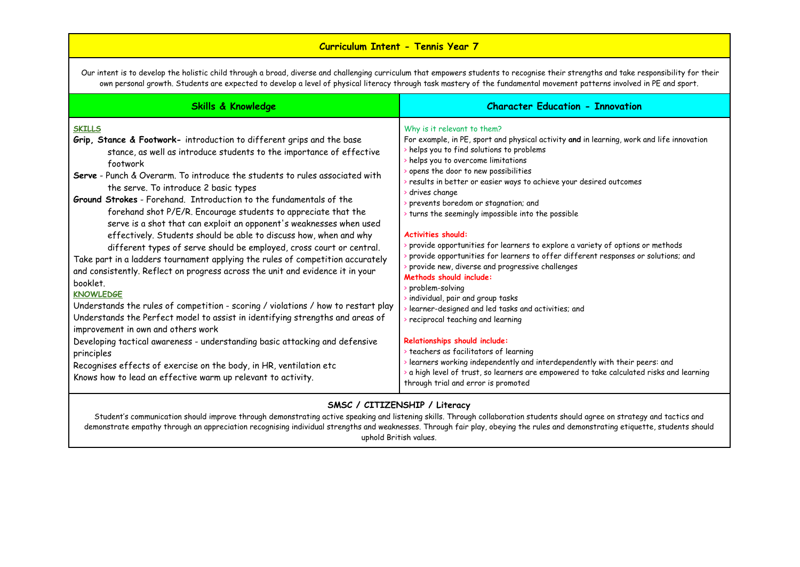# **Curriculum Intent - Tennis Year 7**

Our intent is to develop the holistic child through a broad, diverse and challenging curriculum that empowers students to recognise their strengths and take responsibility for their own personal growth. Students are expected to develop a level of physical literacy through task mastery of the fundamental movement patterns involved in PE and sport.

| <b>Skills &amp; Knowledge</b>                                                                                                                                                                                                                                                                                                                                                                                                                                                                                                                                                                                                                                                                                                                                                                                                                                                                                                                                                                                                                                                                                                                                                                                                                                                                                           | <b>Character Education - Innovation</b>                                                                                                                                                                                                                                                                                                                                                                                                                                                                                                                                                                                                                                                                                                                                                                                                                                                                                                                                                                                                                                                                                                |
|-------------------------------------------------------------------------------------------------------------------------------------------------------------------------------------------------------------------------------------------------------------------------------------------------------------------------------------------------------------------------------------------------------------------------------------------------------------------------------------------------------------------------------------------------------------------------------------------------------------------------------------------------------------------------------------------------------------------------------------------------------------------------------------------------------------------------------------------------------------------------------------------------------------------------------------------------------------------------------------------------------------------------------------------------------------------------------------------------------------------------------------------------------------------------------------------------------------------------------------------------------------------------------------------------------------------------|----------------------------------------------------------------------------------------------------------------------------------------------------------------------------------------------------------------------------------------------------------------------------------------------------------------------------------------------------------------------------------------------------------------------------------------------------------------------------------------------------------------------------------------------------------------------------------------------------------------------------------------------------------------------------------------------------------------------------------------------------------------------------------------------------------------------------------------------------------------------------------------------------------------------------------------------------------------------------------------------------------------------------------------------------------------------------------------------------------------------------------------|
| <b>SKILLS</b><br>Grip, Stance & Footwork- introduction to different grips and the base<br>stance, as well as introduce students to the importance of effective<br>footwork<br><b>Serve</b> - Punch & Overarm. To introduce the students to rules associated with<br>the serve. To introduce 2 basic types<br>Ground Strokes - Forehand. Introduction to the fundamentals of the<br>forehand shot P/E/R. Encourage students to appreciate that the<br>serve is a shot that can exploit an opponent's weaknesses when used<br>effectively. Students should be able to discuss how, when and why<br>different types of serve should be employed, cross court or central.<br>Take part in a ladders tournament applying the rules of competition accurately<br>and consistently. Reflect on progress across the unit and evidence it in your<br>booklet.<br><b>KNOWLEDGE</b><br>Understands the rules of competition - scoring / violations / how to restart play<br>Understands the Perfect model to assist in identifying strengths and areas of<br>improvement in own and others work<br>Developing tactical awareness - understanding basic attacking and defensive<br>principles<br>Recognises effects of exercise on the body, in HR, ventilation etc<br>Knows how to lead an effective warm up relevant to activity. | Why is it relevant to them?<br>For example, in PE, sport and physical activity and in learning, work and life innovation<br>helps you to find solutions to problems<br>helps you to overcome limitations<br>opens the door to new possibilities<br>> results in better or easier ways to achieve your desired outcomes<br>drives change<br>prevents boredom or stagnation; and<br>> turns the seemingly impossible into the possible<br><b>Activities should:</b><br>> provide opportunities for learners to explore a variety of options or methods<br>provide opportunities for learners to offer different responses or solutions; and<br>> provide new, diverse and progressive challenges<br>Methods should include:<br>> problem-solving<br>individual, pair and group tasks<br>> learner-designed and led tasks and activities; and<br>> reciprocal teaching and learning<br>Relationships should include:<br>> teachers as facilitators of learning<br>> learners working independently and interdependently with their peers: and<br>> a high level of trust, so learners are empowered to take calculated risks and learning |
|                                                                                                                                                                                                                                                                                                                                                                                                                                                                                                                                                                                                                                                                                                                                                                                                                                                                                                                                                                                                                                                                                                                                                                                                                                                                                                                         | through trial and error is promoted                                                                                                                                                                                                                                                                                                                                                                                                                                                                                                                                                                                                                                                                                                                                                                                                                                                                                                                                                                                                                                                                                                    |

### **SMSC / CITIZENSHIP / Literacy**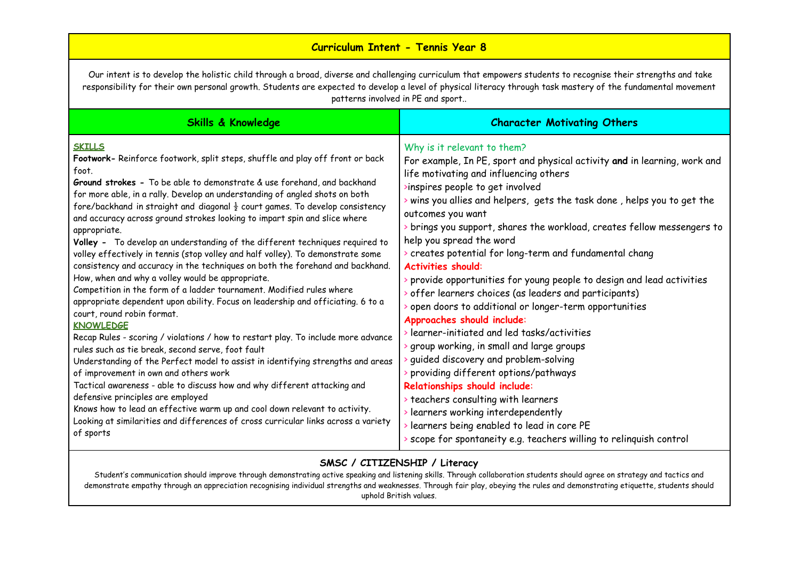# **Curriculum Intent - Tennis Year 8**

Our intent is to develop the holistic child through a broad, diverse and challenging curriculum that empowers students to recognise their strengths and take responsibility for their own personal growth. Students are expected to develop a level of physical literacy through task mastery of the fundamental movement patterns involved in PE and sport..

| <b>Skills &amp; Knowledge</b>                                                                                                                                                                                                                                                                                                                                                                                                                                                                                                                                                                                                                                                                                                                                                                                                                                                                                                                                                                                                                                                                                                                                                                                                                                                                                                                                          | <b>Character Motivating Others</b>                                                                                                                                                                                                                                                                                                                                                                                                                                                                                                                                                                                                                                                                                                                                                                                                                                                                                                  |
|------------------------------------------------------------------------------------------------------------------------------------------------------------------------------------------------------------------------------------------------------------------------------------------------------------------------------------------------------------------------------------------------------------------------------------------------------------------------------------------------------------------------------------------------------------------------------------------------------------------------------------------------------------------------------------------------------------------------------------------------------------------------------------------------------------------------------------------------------------------------------------------------------------------------------------------------------------------------------------------------------------------------------------------------------------------------------------------------------------------------------------------------------------------------------------------------------------------------------------------------------------------------------------------------------------------------------------------------------------------------|-------------------------------------------------------------------------------------------------------------------------------------------------------------------------------------------------------------------------------------------------------------------------------------------------------------------------------------------------------------------------------------------------------------------------------------------------------------------------------------------------------------------------------------------------------------------------------------------------------------------------------------------------------------------------------------------------------------------------------------------------------------------------------------------------------------------------------------------------------------------------------------------------------------------------------------|
| <b>SKILLS</b><br>Footwork- Reinforce footwork, split steps, shuffle and play off front or back<br>foot.<br>Ground strokes - To be able to demonstrate & use forehand, and backhand<br>for more able, in a rally. Develop an understanding of angled shots on both<br>fore/backhand in straight and diagonal $\frac{1}{2}$ court games. To develop consistency<br>and accuracy across ground strokes looking to impart spin and slice where<br>appropriate.<br>Volley - To develop an understanding of the different techniques required to<br>volley effectively in tennis (stop volley and half volley). To demonstrate some<br>consistency and accuracy in the techniques on both the forehand and backhand.<br>How, when and why a volley would be appropriate.<br>Competition in the form of a ladder tournament. Modified rules where<br>appropriate dependent upon ability. Focus on leadership and officiating. 6 to a<br>court, round robin format.<br><b>KNOWLEDGE</b><br>Recap Rules - scoring / violations / how to restart play. To include more advance<br>rules such as tie break, second serve, foot fault<br>Understanding of the Perfect model to assist in identifying strengths and areas<br>of improvement in own and others work<br>Tactical awareness - able to discuss how and why different attacking and<br>defensive principles are employed | Why is it relevant to them?<br>For example, In PE, sport and physical activity and in learning, work and<br>life motivating and influencing others<br>>inspires people to get involved<br>> wins you allies and helpers, gets the task done, helps you to get the<br>outcomes you want<br>> brings you support, shares the workload, creates fellow messengers to<br>help you spread the word<br>> creates potential for long-term and fundamental chang<br><b>Activities should:</b><br>> provide opportunities for young people to design and lead activities<br>> offer learners choices (as leaders and participants)<br>> open doors to additional or longer-term opportunities<br>Approaches should include:<br>learner-initiated and led tasks/activities<br>> group working, in small and large groups<br>> guided discovery and problem-solving<br>> providing different options/pathways<br>Relationships should include: |
| Knows how to lead an effective warm up and cool down relevant to activity.<br>Looking at similarities and differences of cross curricular links across a variety<br>of sports                                                                                                                                                                                                                                                                                                                                                                                                                                                                                                                                                                                                                                                                                                                                                                                                                                                                                                                                                                                                                                                                                                                                                                                          | > teachers consulting with learners<br>> learners working interdependently<br>> learners being enabled to lead in core PE<br>> scope for spontaneity e.g. teachers willing to relinquish control                                                                                                                                                                                                                                                                                                                                                                                                                                                                                                                                                                                                                                                                                                                                    |

# **SMSC / CITIZENSHIP / Literacy**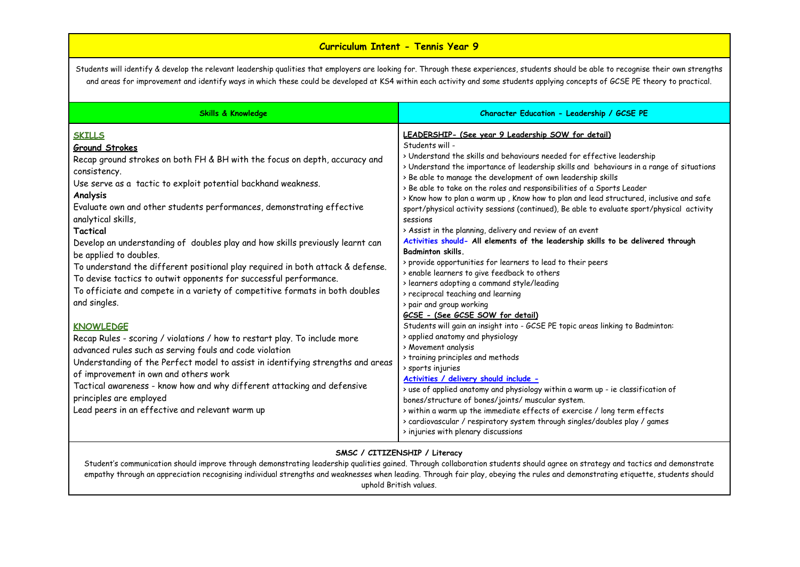# **Curriculum Intent - Tennis Year 9**

Students will identify & develop the relevant leadership qualities that employers are looking for. Through these experiences, students should be able to recognise their own strengths and areas for improvement and identify ways in which these could be developed at KS4 within each activity and some students applying concepts of GCSE PE theory to practical.

| <b>Skills &amp; Knowledge</b>                                                                                                                                                                                                                                                                                                                                                                                                                                                                                                                                                                                                                                                                                                                                                                                                                                                                                                                                                                                                                                                                                                                   | Character Education - Leadership / GCSE PE                                                                                                                                                                                                                                                                                                                                                                                                                                                                                                                                                                                                                                                                                                                                                                                                                                                                                                                                                                                                                                                                                                                                                                                                                                                                                                                                                                                                                                                                                                                                                                                          |
|-------------------------------------------------------------------------------------------------------------------------------------------------------------------------------------------------------------------------------------------------------------------------------------------------------------------------------------------------------------------------------------------------------------------------------------------------------------------------------------------------------------------------------------------------------------------------------------------------------------------------------------------------------------------------------------------------------------------------------------------------------------------------------------------------------------------------------------------------------------------------------------------------------------------------------------------------------------------------------------------------------------------------------------------------------------------------------------------------------------------------------------------------|-------------------------------------------------------------------------------------------------------------------------------------------------------------------------------------------------------------------------------------------------------------------------------------------------------------------------------------------------------------------------------------------------------------------------------------------------------------------------------------------------------------------------------------------------------------------------------------------------------------------------------------------------------------------------------------------------------------------------------------------------------------------------------------------------------------------------------------------------------------------------------------------------------------------------------------------------------------------------------------------------------------------------------------------------------------------------------------------------------------------------------------------------------------------------------------------------------------------------------------------------------------------------------------------------------------------------------------------------------------------------------------------------------------------------------------------------------------------------------------------------------------------------------------------------------------------------------------------------------------------------------------|
| <b>SKILLS</b><br><b>Ground Strokes</b><br>Recap ground strokes on both FH & BH with the focus on depth, accuracy and<br>consistency.<br>Use serve as a tactic to exploit potential backhand weakness.<br>Analysis<br>Evaluate own and other students performances, demonstrating effective<br>analytical skills,<br>Tactical<br>Develop an understanding of doubles play and how skills previously learnt can<br>be applied to doubles.<br>To understand the different positional play required in both attack & defense.<br>To devise tactics to outwit opponents for successful performance.<br>To officiate and compete in a variety of competitive formats in both doubles<br>and singles.<br><b>KNOWLEDGE</b><br>Recap Rules - scoring / violations / how to restart play. To include more<br>advanced rules such as serving fouls and code violation<br>Understanding of the Perfect model to assist in identifying strengths and areas<br>of improvement in own and others work<br>Tactical awareness - know how and why different attacking and defensive<br>principles are employed<br>Lead peers in an effective and relevant warm up | LEADERSHIP- (See year 9 Leadership SOW for detail)<br>Students will -<br>> Understand the skills and behaviours needed for effective leadership<br>> Understand the importance of leadership skills and behaviours in a range of situations<br>> Be able to manage the development of own leadership skills<br>> Be able to take on the roles and responsibilities of a Sports Leader<br>> Know how to plan a warm up, Know how to plan and lead structured, inclusive and safe<br>sport/physical activity sessions (continued), Be able to evaluate sport/physical activity<br>sessions<br>> Assist in the planning, delivery and review of an event<br>Activities should- All elements of the leadership skills to be delivered through<br><b>Badminton skills.</b><br>> provide opportunities for learners to lead to their peers<br>> enable learners to give feedback to others<br>> learners adopting a command style/leading<br>> reciprocal teaching and learning<br>> pair and group working<br>GCSE - (See GCSE SOW for detail)<br>Students will gain an insight into - GCSE PE topic areas linking to Badminton:<br>> applied anatomy and physiology<br>> Movement analysis<br>> training principles and methods<br>> sports injuries<br>Activities / delivery should include -<br>> use of applied anatomy and physiology within a warm up - ie classification of<br>bones/structure of bones/joints/ muscular system.<br>> within a warm up the immediate effects of exercise / long term effects<br>> cardiovascular / respiratory system through singles/doubles play / games<br>> injuries with plenary discussions |

#### **SMSC / CITIZENSHIP / Literacy**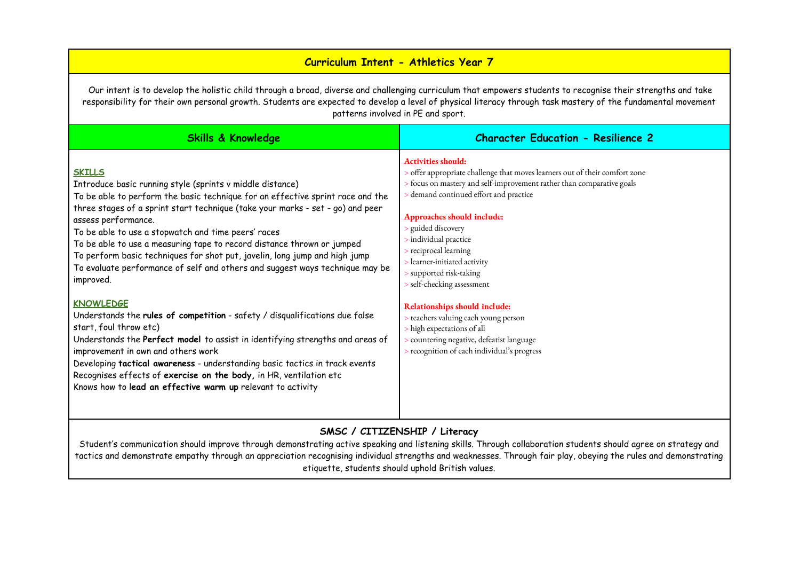# **Curriculum Intent - Athletics Year 7**

Our intent is to develop the holistic child through a broad, diverse and challenging curriculum that empowers students to recognise their strengths and take responsibility for their own personal growth. Students are expected to develop a level of physical literacy through task mastery of the fundamental movement patterns involved in PE and sport.

| <b>Skills &amp; Knowledge</b>                                                                                                                                                                                                                                                                                                                                                                                                                                                                                                                                                     | <b>Character Education - Resilience 2</b>                                                                                                                                                                                                                                                                                                                                                                              |
|-----------------------------------------------------------------------------------------------------------------------------------------------------------------------------------------------------------------------------------------------------------------------------------------------------------------------------------------------------------------------------------------------------------------------------------------------------------------------------------------------------------------------------------------------------------------------------------|------------------------------------------------------------------------------------------------------------------------------------------------------------------------------------------------------------------------------------------------------------------------------------------------------------------------------------------------------------------------------------------------------------------------|
| <b>SKILLS</b><br>Introduce basic running style (sprints v middle distance)<br>To be able to perform the basic technique for an effective sprint race and the<br>three stages of a sprint start technique (take your marks - set - go) and peer<br>assess performance.<br>To be able to use a stopwatch and time peers' races<br>To be able to use a measuring tape to record distance thrown or jumped<br>To perform basic techniques for shot put, javelin, long jump and high jump<br>To evaluate performance of self and others and suggest ways technique may be<br>improved. | <b>Activities should:</b><br>offer appropriate challenge that moves learners out of their comfort zone<br>> focus on mastery and self-improvement rather than comparative goals<br>demand continued effort and practice<br>Approaches should include:<br>s guided discovery<br>> individual practice<br>> reciprocal learning<br>> learner-initiated activity<br>> supported risk-taking<br>> self-checking assessment |
| <b>KNOWLEDGE</b><br>Understands the rules of competition - safety / disqualifications due false<br>start, foul throw etc)<br>Understands the Perfect model to assist in identifying strengths and areas of<br>improvement in own and others work<br>Developing tactical awareness - understanding basic tactics in track events<br>Recognises effects of exercise on the body, in HR, ventilation etc<br>Knows how to lead an effective warm up relevant to activity                                                                                                              | Relationships should include:<br>> teachers valuing each young person<br>> high expectations of all<br>> countering negative, defeatist language<br>> recognition of each individual's progress                                                                                                                                                                                                                        |

## **SMSC / CITIZENSHIP / Literacy**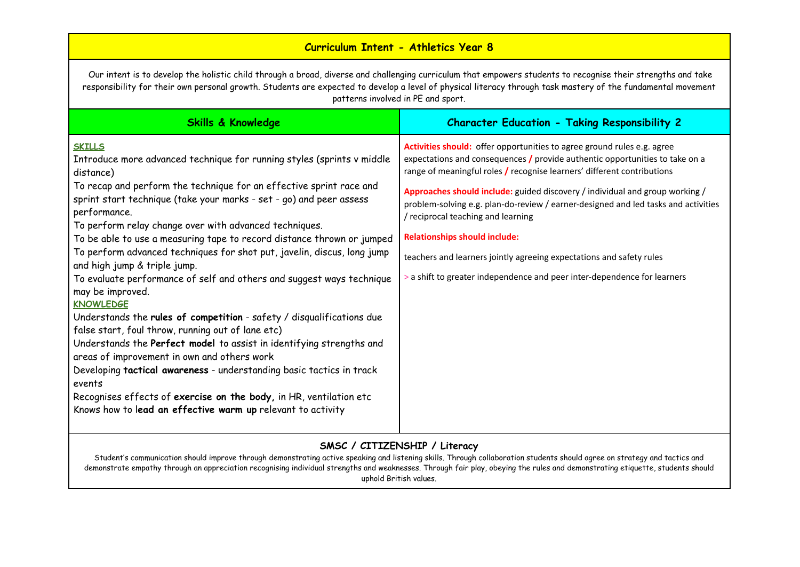# **Curriculum Intent - Athletics Year 8**

Our intent is to develop the holistic child through a broad, diverse and challenging curriculum that empowers students to recognise their strengths and take responsibility for their own personal growth. Students are expected to develop a level of physical literacy through task mastery of the fundamental movement patterns involved in PE and sport.

| <b>Skills &amp; Knowledge</b>                                                                                                                                                                                                                                                                                                                                                                                                                                                                                                                                                                                                                                                                                                                                                                                                                                                                                                                                                                                                                                                                                  | <b>Character Education - Taking Responsibility 2</b>                                                                                                                                                                                                                                                                                                                                                                                                                                                                                                                                                                                              |
|----------------------------------------------------------------------------------------------------------------------------------------------------------------------------------------------------------------------------------------------------------------------------------------------------------------------------------------------------------------------------------------------------------------------------------------------------------------------------------------------------------------------------------------------------------------------------------------------------------------------------------------------------------------------------------------------------------------------------------------------------------------------------------------------------------------------------------------------------------------------------------------------------------------------------------------------------------------------------------------------------------------------------------------------------------------------------------------------------------------|---------------------------------------------------------------------------------------------------------------------------------------------------------------------------------------------------------------------------------------------------------------------------------------------------------------------------------------------------------------------------------------------------------------------------------------------------------------------------------------------------------------------------------------------------------------------------------------------------------------------------------------------------|
| <b>SKILLS</b><br>Introduce more advanced technique for running styles (sprints v middle<br>distance)<br>To recap and perform the technique for an effective sprint race and<br>sprint start technique (take your marks - set - go) and peer assess<br>performance.<br>To perform relay change over with advanced techniques.<br>To be able to use a measuring tape to record distance thrown or jumped<br>To perform advanced techniques for shot put, javelin, discus, long jump<br>and high jump & triple jump.<br>To evaluate performance of self and others and suggest ways technique<br>may be improved.<br><b>KNOWLEDGE</b><br>Understands the rules of competition - safety / disqualifications due<br>false start, foul throw, running out of lane etc)<br>Understands the Perfect model to assist in identifying strengths and<br>areas of improvement in own and others work<br>Developing tactical awareness - understanding basic tactics in track<br>events<br>Recognises effects of exercise on the body, in HR, ventilation etc<br>Knows how to lead an effective warm up relevant to activity | Activities should: offer opportunities to agree ground rules e.g. agree<br>expectations and consequences $\prime$ provide authentic opportunities to take on a<br>range of meaningful roles / recognise learners' different contributions<br>Approaches should include: guided discovery / individual and group working /<br>problem-solving e.g. plan-do-review / earner-designed and led tasks and activities<br>/ reciprocal teaching and learning<br><b>Relationships should include:</b><br>teachers and learners jointly agreeing expectations and safety rules<br>> a shift to greater independence and peer inter-dependence for learners |

# **SMSC / CITIZENSHIP / Literacy**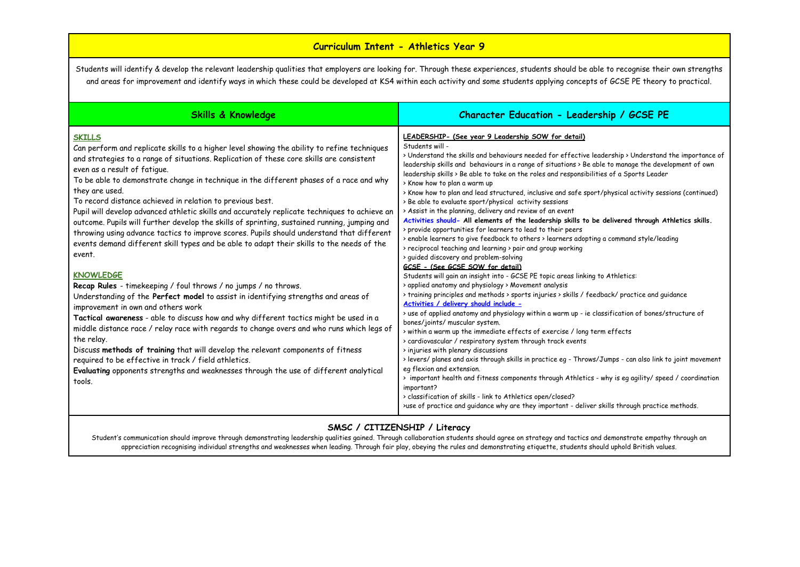# **Curriculum Intent - Athletics Year 9**

Students will identify & develop the relevant leadership qualities that employers are looking for. Through these experiences, students should be able to recognise their own strengths and areas for improvement and identify ways in which these could be developed at KS4 within each activity and some students applying concepts of GCSE PE theory to practical.

| <b>Skills &amp; Knowledge</b>                                                                                                                                                                                                                                                                                                                                                                                                                                                                                                                                                                                                                                                                                                                                                                                                                                                                                                                                                                                                                                                                                                                                                                                                                                                                                                                                                                                                                                                                 | Character Education - Leadership / GCSE PE                                                                                                                                                                                                                                                                                                                                                                                                                                                                                                                                                                                                                                                                                                                                                                                                                                                                                                                                                                                                                                                                                                                                                                                                                                                                                                                                                                                                                                                                                                                                                                                                                                                                                                                                                                                                                                                                                                                                                                                                                                                                          |
|-----------------------------------------------------------------------------------------------------------------------------------------------------------------------------------------------------------------------------------------------------------------------------------------------------------------------------------------------------------------------------------------------------------------------------------------------------------------------------------------------------------------------------------------------------------------------------------------------------------------------------------------------------------------------------------------------------------------------------------------------------------------------------------------------------------------------------------------------------------------------------------------------------------------------------------------------------------------------------------------------------------------------------------------------------------------------------------------------------------------------------------------------------------------------------------------------------------------------------------------------------------------------------------------------------------------------------------------------------------------------------------------------------------------------------------------------------------------------------------------------|---------------------------------------------------------------------------------------------------------------------------------------------------------------------------------------------------------------------------------------------------------------------------------------------------------------------------------------------------------------------------------------------------------------------------------------------------------------------------------------------------------------------------------------------------------------------------------------------------------------------------------------------------------------------------------------------------------------------------------------------------------------------------------------------------------------------------------------------------------------------------------------------------------------------------------------------------------------------------------------------------------------------------------------------------------------------------------------------------------------------------------------------------------------------------------------------------------------------------------------------------------------------------------------------------------------------------------------------------------------------------------------------------------------------------------------------------------------------------------------------------------------------------------------------------------------------------------------------------------------------------------------------------------------------------------------------------------------------------------------------------------------------------------------------------------------------------------------------------------------------------------------------------------------------------------------------------------------------------------------------------------------------------------------------------------------------------------------------------------------------|
| <b>SKILLS</b><br>Can perform and replicate skills to a higher level showing the ability to refine techniques<br>and strategies to a range of situations. Replication of these core skills are consistent<br>even as a result of fatique.<br>To be able to demonstrate change in technique in the different phases of a race and why<br>they are used.<br>To record distance achieved in relation to previous best.<br>Pupil will develop advanced athletic skills and accurately replicate techniques to achieve an<br>outcome. Pupils will further develop the skills of sprinting, sustained running, jumping and<br>throwing using advance tactics to improve scores. Pupils should understand that different<br>events demand different skill types and be able to adapt their skills to the needs of the<br>event.<br><b>KNOWLEDGE</b><br>Recap Rules - timekeeping / foul throws / no jumps / no throws.<br>Understanding of the Perfect model to assist in identifying strengths and areas of<br>improvement in own and others work<br>Tactical awareness - able to discuss how and why different tactics might be used in a<br>middle distance race / relay race with regards to change overs and who runs which legs of<br>the relay.<br>Discuss methods of training that will develop the relevant components of fitness<br>required to be effective in track / field athletics.<br>Evaluating opponents strengths and weaknesses through the use of different analytical<br>tools. | LEADERSHIP- (See year 9 Leadership SOW for detail)<br>Students will -<br>> Understand the skills and behaviours needed for effective leadership > Understand the importance of<br>leadership skills and behaviours in a range of situations > Be able to manage the development of own<br>leadership skills > Be able to take on the roles and responsibilities of a Sports Leader<br>> Know how to plan a warm up<br>> Know how to plan and lead structured, inclusive and safe sport/physical activity sessions (continued)<br>> Be able to evaluate sport/physical activity sessions<br>> Assist in the planning, delivery and review of an event<br>Activities should- All elements of the leadership skills to be delivered through Athletics skills.<br>> provide opportunities for learners to lead to their peers<br>> enable learners to give feedback to others > learners adopting a command style/leading<br>> reciprocal teaching and learning > pair and group working<br>> quided discovery and problem-solving<br>GCSE - (See GCSE SOW for detail)<br>Students will gain an insight into - GCSE PE topic areas linking to Athletics:<br>> applied anatomy and physiology > Movement analysis<br>> training principles and methods > sports injuries > skills / feedback/ practice and quidance<br>Activities / delivery should include -<br>> use of applied anatomy and physiology within a warm up - ie classification of bones/structure of<br>bones/joints/ muscular system.<br>> within a warm up the immediate effects of exercise / long term effects<br>> cardiovascular / respiratory system through track events<br>> injuries with plenary discussions<br>> levers/ planes and axis through skills in practice eg - Throws/Jumps - can also link to joint movement<br>eg flexion and extension.<br>> important health and fitness components through Athletics - why is eq agility/ speed / coordination<br>important?<br>> classification of skills - link to Athletics open/closed?<br>>use of practice and guidance why are they important - deliver skills through practice methods. |
|                                                                                                                                                                                                                                                                                                                                                                                                                                                                                                                                                                                                                                                                                                                                                                                                                                                                                                                                                                                                                                                                                                                                                                                                                                                                                                                                                                                                                                                                                               |                                                                                                                                                                                                                                                                                                                                                                                                                                                                                                                                                                                                                                                                                                                                                                                                                                                                                                                                                                                                                                                                                                                                                                                                                                                                                                                                                                                                                                                                                                                                                                                                                                                                                                                                                                                                                                                                                                                                                                                                                                                                                                                     |

#### **SMSC / CITIZENSHIP / Literacy**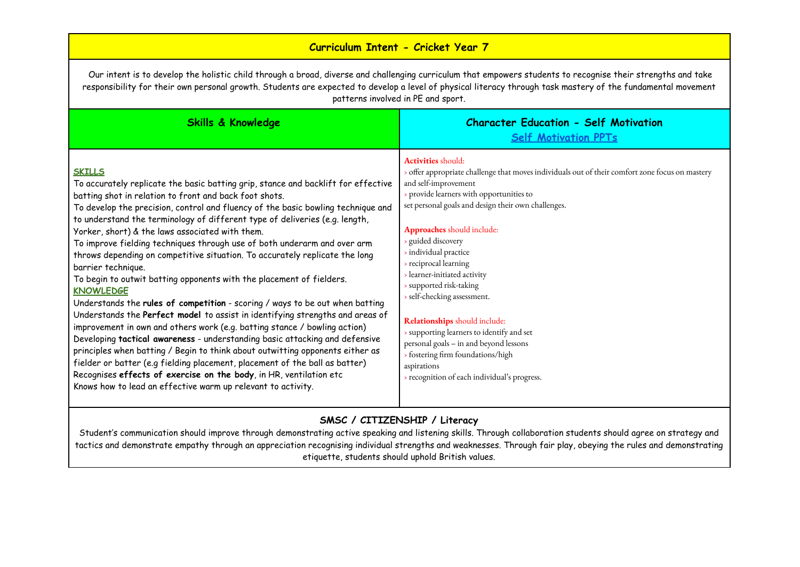# **Curriculum Intent - Cricket Year 7**

Our intent is to develop the holistic child through a broad, diverse and challenging curriculum that empowers students to recognise their strengths and take responsibility for their own personal growth. Students are expected to develop a level of physical literacy through task mastery of the fundamental movement patterns involved in PE and sport.

| <b>Skills &amp; Knowledge</b>                                                                                                                                                                                                                                                                                                                                                                                                                                                                                                                                                                                                                                                                                                                                                                                                                                                                                                                                                                                                                                                                                                                                                                                                                                                                      | <b>Character Education - Self Motivation</b><br><b>Self Motivation PPTs</b>                                                                                                                                                                                                                                                                                                                                                                                                                                                                                                                                                                                               |
|----------------------------------------------------------------------------------------------------------------------------------------------------------------------------------------------------------------------------------------------------------------------------------------------------------------------------------------------------------------------------------------------------------------------------------------------------------------------------------------------------------------------------------------------------------------------------------------------------------------------------------------------------------------------------------------------------------------------------------------------------------------------------------------------------------------------------------------------------------------------------------------------------------------------------------------------------------------------------------------------------------------------------------------------------------------------------------------------------------------------------------------------------------------------------------------------------------------------------------------------------------------------------------------------------|---------------------------------------------------------------------------------------------------------------------------------------------------------------------------------------------------------------------------------------------------------------------------------------------------------------------------------------------------------------------------------------------------------------------------------------------------------------------------------------------------------------------------------------------------------------------------------------------------------------------------------------------------------------------------|
| <b>SKILLS</b><br>To accurately replicate the basic batting grip, stance and backlift for effective<br>batting shot in relation to front and back foot shots.<br>To develop the precision, control and fluency of the basic bowling technique and<br>to understand the terminology of different type of deliveries (e.g. length,<br>Yorker, short) & the laws associated with them.<br>To improve fielding techniques through use of both underarm and over arm<br>throws depending on competitive situation. To accurately replicate the long<br>barrier technique.<br>To begin to outwit batting opponents with the placement of fielders.<br><b>KNOWLEDGE</b><br>Understands the rules of competition - scoring / ways to be out when batting<br>Understands the Perfect model to assist in identifying strengths and areas of<br>improvement in own and others work (e.g. batting stance / bowling action)<br>Developing tactical awareness - understanding basic attacking and defensive<br>principles when batting / Begin to think about outwitting opponents either as<br>fielder or batter (e.g fielding placement, placement of the ball as batter)<br>Recognises effects of exercise on the body, in HR, ventilation etc<br>Knows how to lead an effective warm up relevant to activity. | <b>Activities</b> should:<br>offer appropriate challenge that moves individuals out of their comfort zone focus on mastery<br>and self-improvement<br>provide learners with opportunities to<br>set personal goals and design their own challenges.<br>Approaches should include:<br>guided discovery<br>individual practice<br>> reciprocal learning<br>learner-initiated activity<br>> supported risk-taking<br>> self-checking assessment.<br>Relationships should include:<br>> supporting learners to identify and set<br>personal goals - in and beyond lessons<br>> fostering firm foundations/high<br>aspirations<br>> recognition of each individual's progress. |

### **SMSC / CITIZENSHIP / Literacy**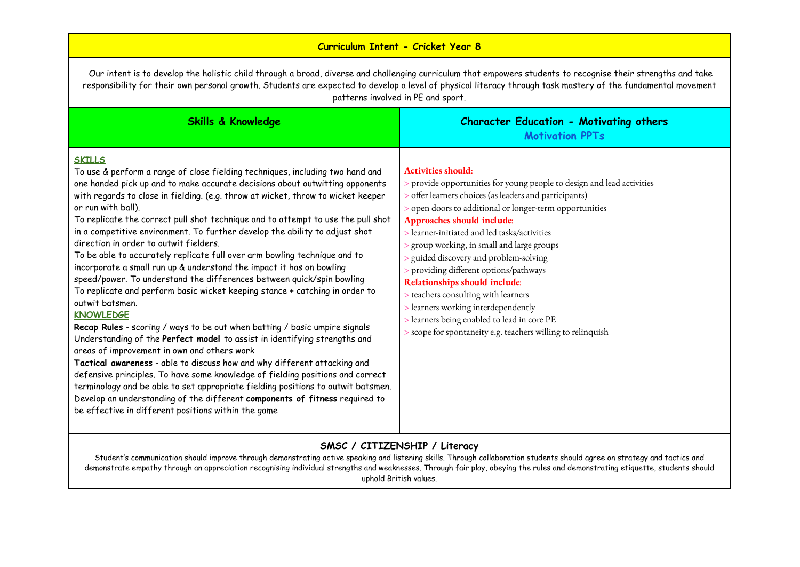## **Curriculum Intent - Cricket Year 8**

Our intent is to develop the holistic child through a broad, diverse and challenging curriculum that empowers students to recognise their strengths and take responsibility for their own personal growth. Students are expected to develop a level of physical literacy through task mastery of the fundamental movement patterns involved in PE and sport.

| <b>Skills &amp; Knowledge</b>                                                                                                                                                                                                                                                                                                                                                                                                                                                                                                                                                                                                                                                                                                                                                                                                                                                                                                                                                                                                                                                                                                                                                                                                                                                                                                                                                                                                                               | <b>Character Education - Motivating others</b><br><b>Motivation PPTs</b>                                                                                                                                                                                                                                                                                                                                                                                                                                                                                                                                                                                              |
|-------------------------------------------------------------------------------------------------------------------------------------------------------------------------------------------------------------------------------------------------------------------------------------------------------------------------------------------------------------------------------------------------------------------------------------------------------------------------------------------------------------------------------------------------------------------------------------------------------------------------------------------------------------------------------------------------------------------------------------------------------------------------------------------------------------------------------------------------------------------------------------------------------------------------------------------------------------------------------------------------------------------------------------------------------------------------------------------------------------------------------------------------------------------------------------------------------------------------------------------------------------------------------------------------------------------------------------------------------------------------------------------------------------------------------------------------------------|-----------------------------------------------------------------------------------------------------------------------------------------------------------------------------------------------------------------------------------------------------------------------------------------------------------------------------------------------------------------------------------------------------------------------------------------------------------------------------------------------------------------------------------------------------------------------------------------------------------------------------------------------------------------------|
| <b>SKILLS</b><br>To use & perform a range of close fielding techniques, including two hand and<br>one handed pick up and to make accurate decisions about outwitting opponents<br>with regards to close in fielding. (e.g. throw at wicket, throw to wicket keeper<br>or run with ball).<br>To replicate the correct pull shot technique and to attempt to use the pull shot<br>in a competitive environment. To further develop the ability to adjust shot<br>direction in order to outwit fielders.<br>To be able to accurately replicate full over arm bowling technique and to<br>incorporate a small run up & understand the impact it has on bowling<br>speed/power. To understand the differences between quick/spin bowling<br>To replicate and perform basic wicket keeping stance + catching in order to<br>outwit batsmen.<br><b>KNOWLEDGE</b><br>Recap Rules - scoring / ways to be out when batting / basic umpire signals<br>Understanding of the Perfect model to assist in identifying strengths and<br>areas of improvement in own and others work<br>Tactical awareness - able to discuss how and why different attacking and<br>defensive principles. To have some knowledge of fielding positions and correct<br>terminology and be able to set appropriate fielding positions to outwit batsmen.<br>Develop an understanding of the different components of fitness required to<br>be effective in different positions within the game | <b>Activities should:</b><br>> provide opportunities for young people to design and lead activities<br>> offer learners choices (as leaders and participants)<br>> open doors to additional or longer-term opportunities<br>Approaches should include:<br>> learner-initiated and led tasks/activities<br>> group working, in small and large groups<br>s guided discovery and problem-solving<br>> providing different options/pathways<br>Relationships should include:<br>> teachers consulting with learners<br>> learners working interdependently<br>> learners being enabled to lead in core PE<br>> scope for spontaneity e.g. teachers willing to relinquish |

# **SMSC / CITIZENSHIP / Literacy**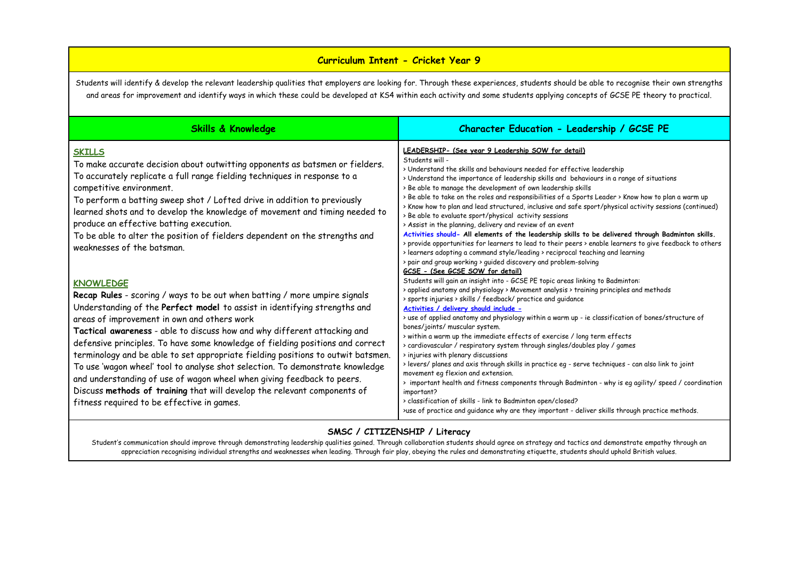### **Curriculum Intent - Cricket Year 9**

Students will identify & develop the relevant leadership qualities that employers are looking for. Through these experiences, students should be able to recognise their own strengths and areas for improvement and identify ways in which these could be developed at KS4 within each activity and some students applying concepts of GCSE PE theory to practical.

| Skills & Knowledge                                                                                                                                                                                                                                                                                                                                                                                                                                                                                                                                                                                                                                                                                                                                               | Character Education - Leadership / GCSE PE                                                                                                                                                                                                                                                                                                                                                                                                                                                                                                                                                                                                                                                                                                                                                                                                                                                                                                                                                                                                                                                                                                                                                                                                                 |
|------------------------------------------------------------------------------------------------------------------------------------------------------------------------------------------------------------------------------------------------------------------------------------------------------------------------------------------------------------------------------------------------------------------------------------------------------------------------------------------------------------------------------------------------------------------------------------------------------------------------------------------------------------------------------------------------------------------------------------------------------------------|------------------------------------------------------------------------------------------------------------------------------------------------------------------------------------------------------------------------------------------------------------------------------------------------------------------------------------------------------------------------------------------------------------------------------------------------------------------------------------------------------------------------------------------------------------------------------------------------------------------------------------------------------------------------------------------------------------------------------------------------------------------------------------------------------------------------------------------------------------------------------------------------------------------------------------------------------------------------------------------------------------------------------------------------------------------------------------------------------------------------------------------------------------------------------------------------------------------------------------------------------------|
| <b>SKILLS</b><br>To make accurate decision about outwitting opponents as batsmen or fielders.<br>To accurately replicate a full range fielding techniques in response to a<br>competitive environment.<br>To perform a batting sweep shot / Lofted drive in addition to previously<br>learned shots and to develop the knowledge of movement and timing needed to<br>produce an effective batting execution.<br>To be able to alter the position of fielders dependent on the strengths and<br>weaknesses of the batsman.                                                                                                                                                                                                                                        | LEADERSHIP- (See year 9 Leadership SOW for detail)<br>Students will -<br>> Understand the skills and behaviours needed for effective leadership<br>> Understand the importance of leadership skills and behaviours in a range of situations<br>> Be able to manage the development of own leadership skills<br>> Be able to take on the roles and responsibilities of a Sports Leader > Know how to plan a warm up<br>> Know how to plan and lead structured, inclusive and safe sport/physical activity sessions (continued)<br>> Be able to evaluate sport/physical activity sessions<br>> Assist in the planning, delivery and review of an event<br>Activities should- All elements of the leadership skills to be delivered through Badminton skills.<br>> provide opportunities for learners to lead to their peers > enable learners to give feedback to others                                                                                                                                                                                                                                                                                                                                                                                     |
| <b>KNOWLEDGE</b><br>Recap Rules - scoring / ways to be out when batting / more umpire signals<br>Understanding of the Perfect model to assist in identifying strengths and<br>areas of improvement in own and others work<br>Tactical awareness - able to discuss how and why different attacking and<br>defensive principles. To have some knowledge of fielding positions and correct<br>terminology and be able to set appropriate fielding positions to outwit batsmen.<br>To use 'wagon wheel' tool to analyse shot selection. To demonstrate knowledge<br>and understanding of use of wagon wheel when giving feedback to peers.<br>Discuss methods of training that will develop the relevant components of<br>fitness required to be effective in games. | > learners adopting a command style/leading > reciprocal teaching and learning<br>> pair and group working > guided discovery and problem-solving<br>GCSE - (See GCSE SOW for detail)<br>Students will gain an insight into - GCSE PE topic areas linking to Badminton:<br>> applied anatomy and physiology > Movement analysis > training principles and methods<br>> sports injuries > skills / feedback/ practice and quidance<br>Activities / delivery should include -<br>> use of applied anatomy and physiology within a warm up - ie classification of bones/structure of<br>bones/joints/ muscular system.<br>> within a warm up the immediate effects of exercise / long term effects<br>> cardiovascular / respiratory system through singles/doubles play / games<br>> injuries with plenary discussions<br>> levers/ planes and axis through skills in practice eq - serve techniques - can also link to joint<br>movement eq flexion and extension.<br>> important health and fitness components through Badminton - why is eq agility/ speed / coordination<br>important?<br>> classification of skills - link to Badminton open/closed?<br>>use of practice and guidance why are they important - deliver skills through practice methods. |

### **SMSC / CITIZENSHIP / Literacy**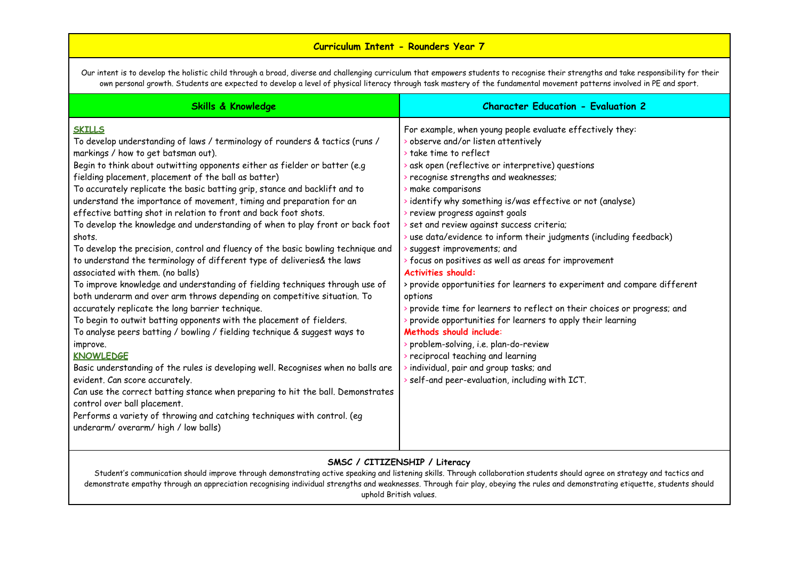### **Curriculum Intent - Rounders Year 7**

Our intent is to develop the holistic child through a broad, diverse and challenging curriculum that empowers students to recognise their strengths and take responsibility for their own personal growth. Students are expected to develop a level of physical literacy through task mastery of the fundamental movement patterns involved in PE and sport.

| <b>Skills &amp; Knowledge</b>                                                                                                                                                                                                                                                                                                                                                                                                                                                                                                                                                                                                                                                                                                                                                                                                                                                                                                                                                                                                                                                                                                                                                                                                                                                                                                                                                                                                                                                                                                                                         | <b>Character Education - Evaluation 2</b>                                                                                                                                                                                                                                                                                                                                                                                                                                                                                                                                                                                                                                                                                                                                                                                                                                                                                                                                                                                                            |
|-----------------------------------------------------------------------------------------------------------------------------------------------------------------------------------------------------------------------------------------------------------------------------------------------------------------------------------------------------------------------------------------------------------------------------------------------------------------------------------------------------------------------------------------------------------------------------------------------------------------------------------------------------------------------------------------------------------------------------------------------------------------------------------------------------------------------------------------------------------------------------------------------------------------------------------------------------------------------------------------------------------------------------------------------------------------------------------------------------------------------------------------------------------------------------------------------------------------------------------------------------------------------------------------------------------------------------------------------------------------------------------------------------------------------------------------------------------------------------------------------------------------------------------------------------------------------|------------------------------------------------------------------------------------------------------------------------------------------------------------------------------------------------------------------------------------------------------------------------------------------------------------------------------------------------------------------------------------------------------------------------------------------------------------------------------------------------------------------------------------------------------------------------------------------------------------------------------------------------------------------------------------------------------------------------------------------------------------------------------------------------------------------------------------------------------------------------------------------------------------------------------------------------------------------------------------------------------------------------------------------------------|
| <b>SKILLS</b><br>To develop understanding of laws / terminology of rounders & tactics (runs /<br>markings / how to get batsman out).<br>Begin to think about outwitting opponents either as fielder or batter (e.g<br>fielding placement, placement of the ball as batter)<br>To accurately replicate the basic batting grip, stance and backlift and to<br>understand the importance of movement, timing and preparation for an<br>effective batting shot in relation to front and back foot shots.<br>To develop the knowledge and understanding of when to play front or back foot<br>shots.<br>To develop the precision, control and fluency of the basic bowling technique and<br>to understand the terminology of different type of deliveries& the laws<br>associated with them. (no balls)<br>To improve knowledge and understanding of fielding techniques through use of<br>both underarm and over arm throws depending on competitive situation. To<br>accurately replicate the long barrier technique.<br>To begin to outwit batting opponents with the placement of fielders.<br>To analyse peers batting / bowling / fielding technique & suggest ways to<br>improve.<br><b>KNOWLEDGE</b><br>Basic understanding of the rules is developing well. Recognises when no balls are<br>evident. Can score accurately.<br>Can use the correct batting stance when preparing to hit the ball. Demonstrates<br>control over ball placement.<br>Performs a variety of throwing and catching techniques with control. (eg<br>underarm/ overarm/ high / low balls) | For example, when young people evaluate effectively they:<br>b observe and/or listen attentively<br>$\rightarrow$ take time to reflect<br>$\rightarrow$ ask open (reflective or interpretive) questions<br>> recognise strengths and weaknesses;<br>make comparisons<br>identify why something is/was effective or not (analyse)<br>review progress against goals<br>set and review against success criteria;<br>$\rightarrow$ use data/evidence to inform their judgments (including feedback)<br>suggest improvements; and<br>> focus on positives as well as areas for improvement<br><b>Activities should:</b><br>> provide opportunities for learners to experiment and compare different<br>options<br>provide time for learners to reflect on their choices or progress; and<br>provide opportunities for learners to apply their learning<br>Methods should include:<br>problem-solving, i.e. plan-do-review<br>reciprocal teaching and learning<br>individual, pair and group tasks; and<br>> self-and peer-evaluation, including with ICT. |

### **SMSC / CITIZENSHIP / Literacy**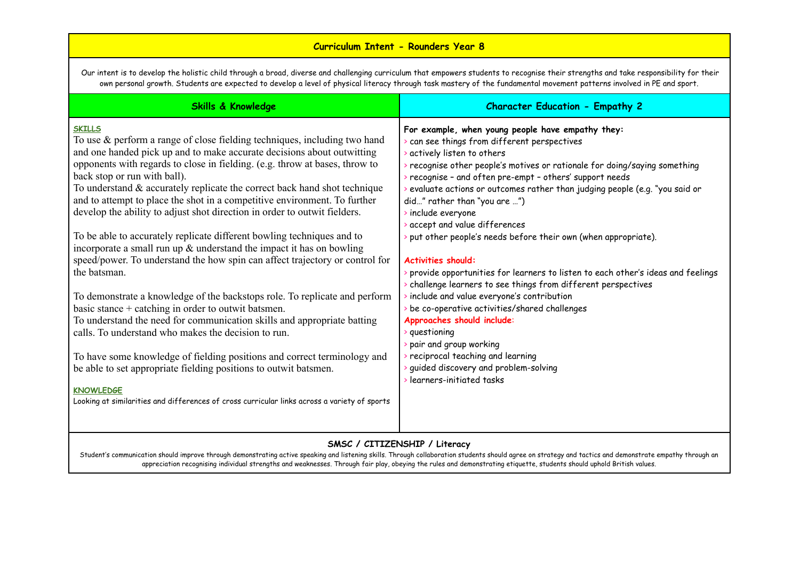# **Curriculum Intent - Rounders Year 8**

Our intent is to develop the holistic child through a broad, diverse and challenging curriculum that empowers students to recognise their strengths and take responsibility for their own personal growth. Students are expected to develop a level of physical literacy through task mastery of the fundamental movement patterns involved in PE and sport.

| <b>Skills &amp; Knowledge</b>                                                                                                                                                                                                                                                                                                                                                                                                                                                                                                                                                                                                                                                                                                                                                                                                                                                                                                                                                                                                                                                                                                                                                                                                                                                                                                 | <b>Character Education - Empathy 2</b>                                                                                                                                                                                                                                                                                                                                                                                                                                                                                                                                                                                                                                                                                                                                                                                                                                                                                                                              |
|-------------------------------------------------------------------------------------------------------------------------------------------------------------------------------------------------------------------------------------------------------------------------------------------------------------------------------------------------------------------------------------------------------------------------------------------------------------------------------------------------------------------------------------------------------------------------------------------------------------------------------------------------------------------------------------------------------------------------------------------------------------------------------------------------------------------------------------------------------------------------------------------------------------------------------------------------------------------------------------------------------------------------------------------------------------------------------------------------------------------------------------------------------------------------------------------------------------------------------------------------------------------------------------------------------------------------------|---------------------------------------------------------------------------------------------------------------------------------------------------------------------------------------------------------------------------------------------------------------------------------------------------------------------------------------------------------------------------------------------------------------------------------------------------------------------------------------------------------------------------------------------------------------------------------------------------------------------------------------------------------------------------------------------------------------------------------------------------------------------------------------------------------------------------------------------------------------------------------------------------------------------------------------------------------------------|
| <b>SKILLS</b><br>To use $\&$ perform a range of close fielding techniques, including two hand<br>and one handed pick up and to make accurate decisions about outwitting<br>opponents with regards to close in fielding. (e.g. throw at bases, throw to<br>back stop or run with ball).<br>To understand & accurately replicate the correct back hand shot technique<br>and to attempt to place the shot in a competitive environment. To further<br>develop the ability to adjust shot direction in order to outwit fielders.<br>To be able to accurately replicate different bowling techniques and to<br>incorporate a small run up $\&$ understand the impact it has on bowling<br>speed/power. To understand the how spin can affect trajectory or control for<br>the batsman.<br>To demonstrate a knowledge of the backstops role. To replicate and perform<br>basic stance + catching in order to outwit batsmen.<br>To understand the need for communication skills and appropriate batting<br>calls. To understand who makes the decision to run.<br>To have some knowledge of fielding positions and correct terminology and<br>be able to set appropriate fielding positions to outwit batsmen.<br><b>KNOWLEDGE</b><br>Looking at similarities and differences of cross curricular links across a variety of sports | For example, when young people have empathy they:<br>can see things from different perspectives<br>actively listen to others<br>recognise other people's motives or rationale for doing/saying something<br>recognise - and often pre-empt - others' support needs<br>evaluate actions or outcomes rather than judging people (e.g. "you said or<br>did" rather than "you are ")<br>include everyone<br>accept and value differences<br>put other people's needs before their own (when appropriate).<br><b>Activities should:</b><br>provide opportunities for learners to listen to each other's ideas and feelings<br>challenge learners to see things from different perspectives<br>include and value everyone's contribution<br>be co-operative activities/shared challenges<br>Approaches should include:<br>> questioning<br>pair and group working<br>reciprocal teaching and learning<br>guided discovery and problem-solving<br>learners-initiated tasks |
|                                                                                                                                                                                                                                                                                                                                                                                                                                                                                                                                                                                                                                                                                                                                                                                                                                                                                                                                                                                                                                                                                                                                                                                                                                                                                                                               |                                                                                                                                                                                                                                                                                                                                                                                                                                                                                                                                                                                                                                                                                                                                                                                                                                                                                                                                                                     |

#### **SMSC / CITIZENSHIP / Literacy**